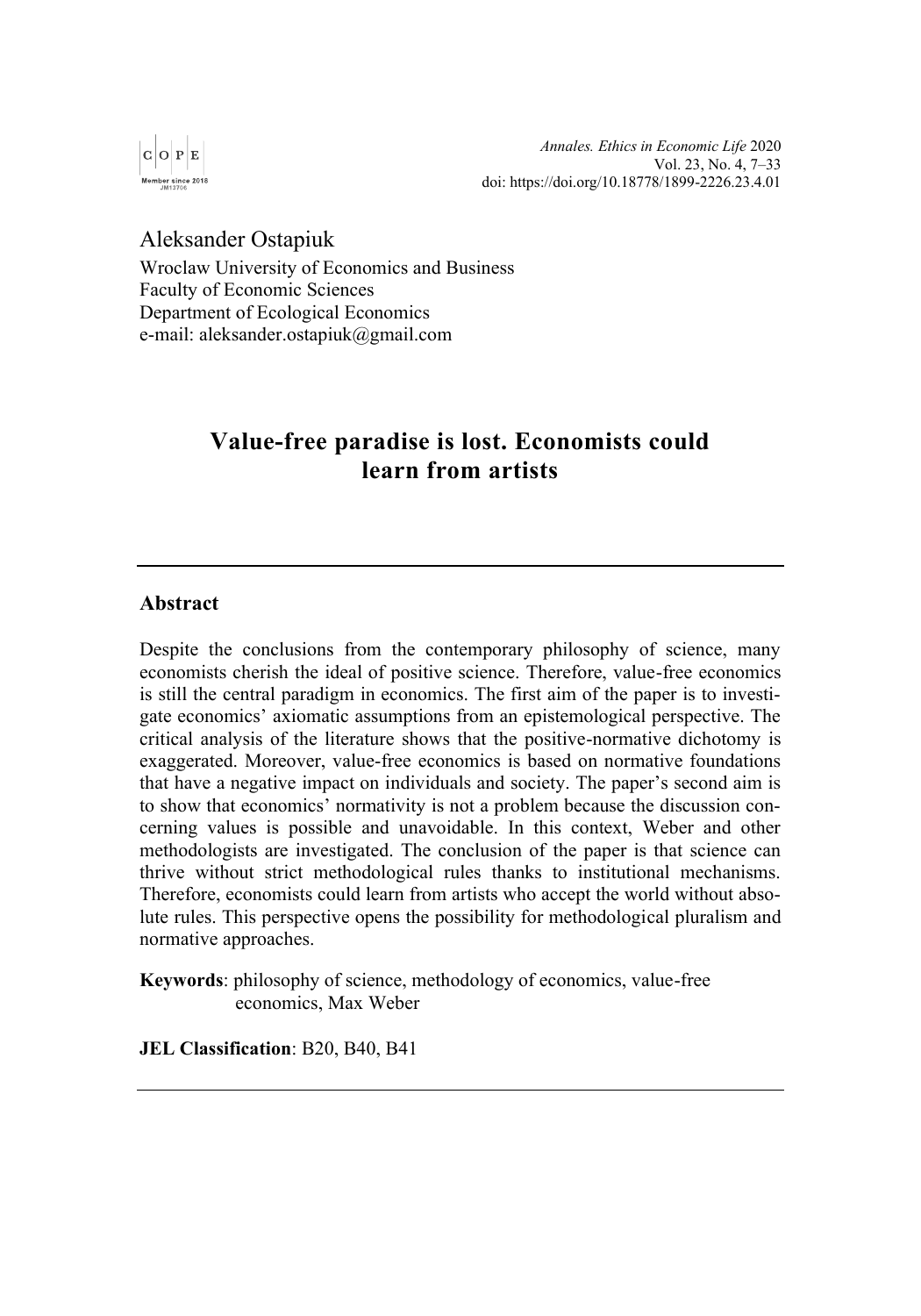

*Annales. Ethics in Economic Life* 2020 Vol. 23, No. 4, 7–33 d[oi: https://doi.org/10.18778/1899-2226.23.4.0](https://doi.org/10.18778/1899-2226.23.4.01)1

Aleksander Ostapiuk

Wroclaw University of Economics and Business Faculty of Economic Sciences Department of Ecological Economics e-mail: aleksander.ostapiuk@gmail.com

# **Value-free paradise is lost. Economists could learn from artists**

### **Abstract**

Despite the conclusions from the contemporary philosophy of science, many economists cherish the ideal of positive science. Therefore, value-free economics is still the central paradigm in economics. The first aim of the paper is to investigate economics' axiomatic assumptions from an epistemological perspective. The critical analysis of the literature shows that the positive-normative dichotomy is exaggerated. Moreover, value-free economics is based on normative foundations that have a negative impact on individuals and society. The paper's second aim is to show that economics' normativity is not a problem because the discussion concerning values is possible and unavoidable. In this context, Weber and other methodologists are investigated. The conclusion of the paper is that science can thrive without strict methodological rules thanks to institutional mechanisms. Therefore, economists could learn from artists who accept the world without absolute rules. This perspective opens the possibility for methodological pluralism and normative approaches.

**Keywords**: philosophy of science, methodology of economics, value-free economics, Max Weber

**JEL Classification**: B20, B40, B41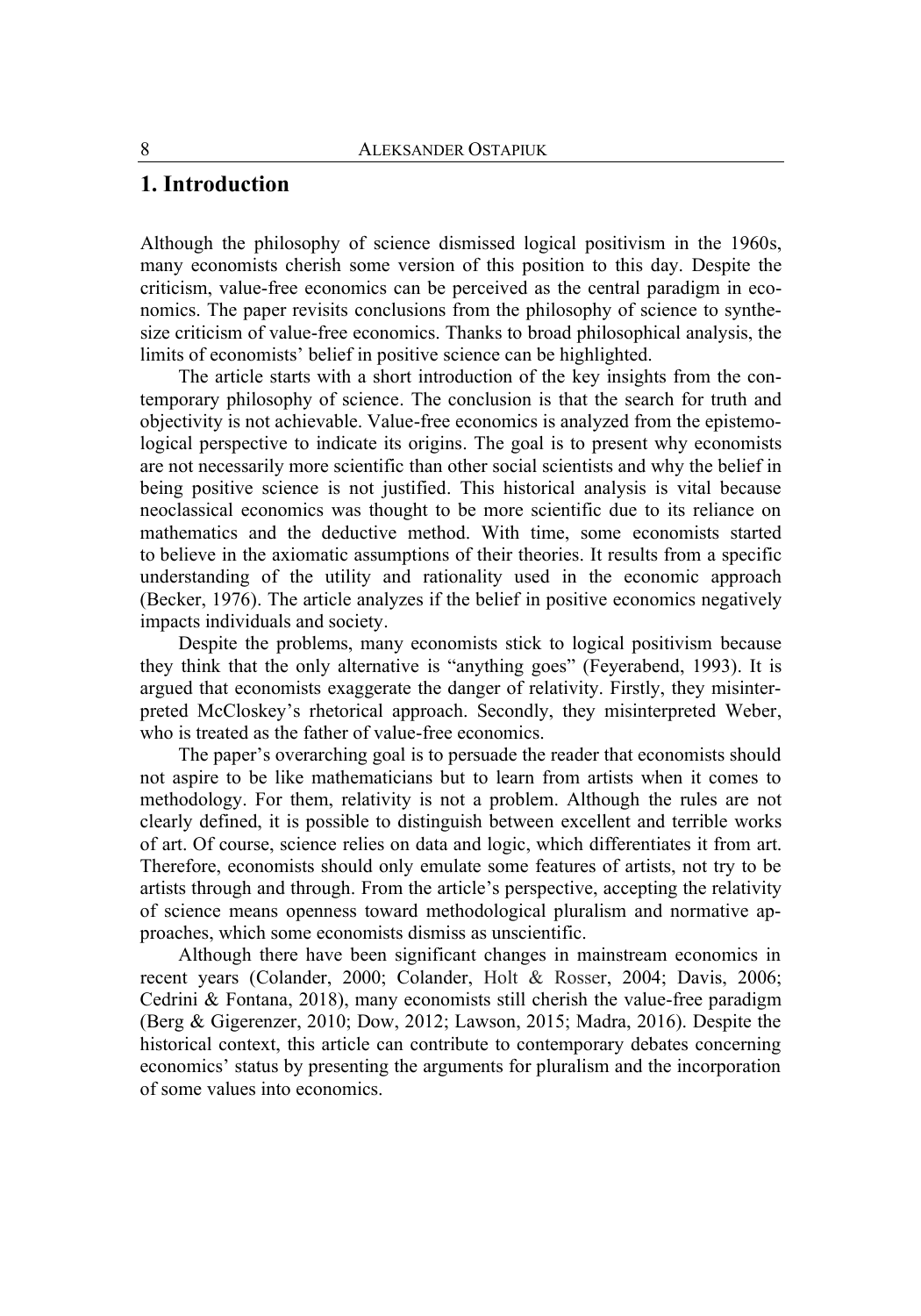### **1. Introduction**

Although the philosophy of science dismissed logical positivism in the 1960s, many economists cherish some version of this position to this day. Despite the criticism, value-free economics can be perceived as the central paradigm in economics. The paper revisits conclusions from the philosophy of science to synthesize criticism of value-free economics. Thanks to broad philosophical analysis, the limits of economists' belief in positive science can be highlighted.

The article starts with a short introduction of the key insights from the contemporary philosophy of science. The conclusion is that the search for truth and objectivity is not achievable. Value-free economics is analyzed from the epistemological perspective to indicate its origins. The goal is to present why economists are not necessarily more scientific than other social scientists and why the belief in being positive science is not justified. This historical analysis is vital because neoclassical economics was thought to be more scientific due to its reliance on mathematics and the deductive method. With time, some economists started to believe in the axiomatic assumptions of their theories. It results from a specific understanding of the utility and rationality used in the economic approach (Becker, 1976). The article analyzes if the belief in positive economics negatively impacts individuals and society.

Despite the problems, many economists stick to logical positivism because they think that the only alternative is "anything goes" (Feyerabend, 1993). It is argued that economists exaggerate the danger of relativity. Firstly, they misinterpreted McCloskey's rhetorical approach. Secondly, they misinterpreted Weber, who is treated as the father of value-free economics.

The paper's overarching goal is to persuade the reader that economists should not aspire to be like mathematicians but to learn from artists when it comes to methodology. For them, relativity is not a problem. Although the rules are not clearly defined, it is possible to distinguish between excellent and terrible works of art. Of course, science relies on data and logic, which differentiates it from art. Therefore, economists should only emulate some features of artists, not try to be artists through and through. From the article's perspective, accepting the relativity of science means openness toward methodological pluralism and normative approaches, which some economists dismiss as unscientific.

Although there have been significant changes in mainstream economics in recent years (Colander, 2000; Colander, Holt & Rosser, 2004; Davis, 2006; Cedrini & Fontana, 2018), many economists still cherish the value-free paradigm (Berg & Gigerenzer, 2010; Dow, 2012; Lawson, 2015; Madra, 2016). Despite the historical context, this article can contribute to contemporary debates concerning economics' status by presenting the arguments for pluralism and the incorporation of some values into economics.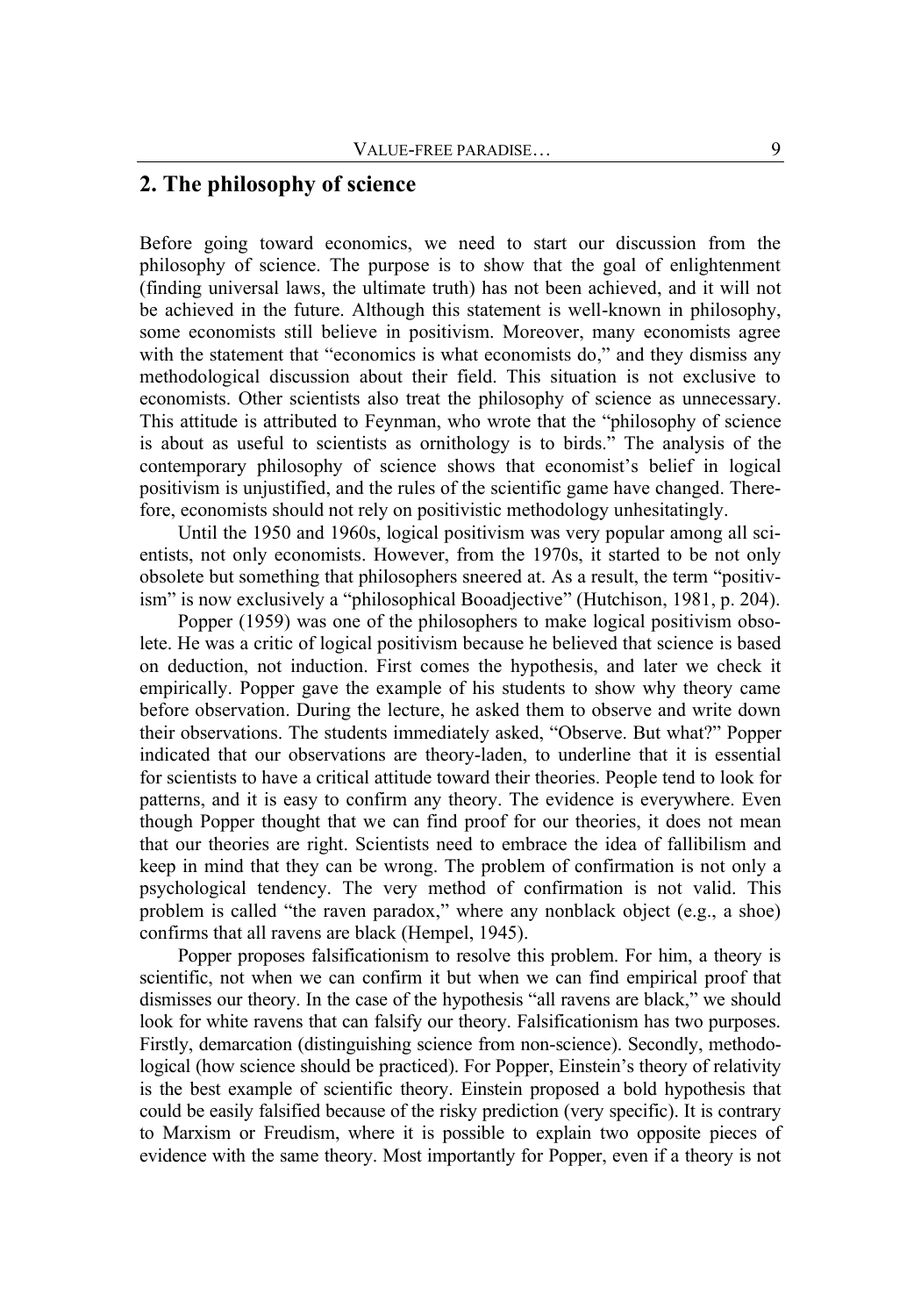## **2. The philosophy of science**

Before going toward economics, we need to start our discussion from the philosophy of science. The purpose is to show that the goal of enlightenment (finding universal laws, the ultimate truth) has not been achieved, and it will not be achieved in the future. Although this statement is well-known in philosophy, some economists still believe in positivism. Moreover, many economists agree with the statement that "economics is what economists do," and they dismiss any methodological discussion about their field. This situation is not exclusive to economists. Other scientists also treat the philosophy of science as unnecessary. This attitude is attributed to Feynman, who wrote that the "philosophy of science is about as useful to scientists as ornithology is to birds." The analysis of the contemporary philosophy of science shows that economist's belief in logical positivism is unjustified, and the rules of the scientific game have changed. Therefore, economists should not rely on positivistic methodology unhesitatingly.

Until the 1950 and 1960s, logical positivism was very popular among all scientists, not only economists. However, from the 1970s, it started to be not only obsolete but something that philosophers sneered at. As a result, the term "positivism" is now exclusively a "philosophical Booadjective" (Hutchison, 1981, p. 204).

Popper (1959) was one of the philosophers to make logical positivism obsolete. He was a critic of logical positivism because he believed that science is based on deduction, not induction. First comes the hypothesis, and later we check it empirically. Popper gave the example of his students to show why theory came before observation. During the lecture, he asked them to observe and write down their observations. The students immediately asked, "Observe. But what?" Popper indicated that our observations are theory-laden, to underline that it is essential for scientists to have a critical attitude toward their theories. People tend to look for patterns, and it is easy to confirm any theory. The evidence is everywhere. Even though Popper thought that we can find proof for our theories, it does not mean that our theories are right. Scientists need to embrace the idea of fallibilism and keep in mind that they can be wrong. The problem of confirmation is not only a psychological tendency. The very method of confirmation is not valid. This problem is called "the raven paradox," where any nonblack object (e.g., a shoe) confirms that all ravens are black (Hempel, 1945).

Popper proposes falsificationism to resolve this problem. For him, a theory is scientific, not when we can confirm it but when we can find empirical proof that dismisses our theory. In the case of the hypothesis "all ravens are black," we should look for white ravens that can falsify our theory. Falsificationism has two purposes. Firstly, demarcation (distinguishing science from non-science). Secondly, methodological (how science should be practiced). For Popper, Einstein's theory of relativity is the best example of scientific theory. Einstein proposed a bold hypothesis that could be easily falsified because of the risky prediction (very specific). It is contrary to Marxism or Freudism, where it is possible to explain two opposite pieces of evidence with the same theory. Most importantly for Popper, even if a theory is not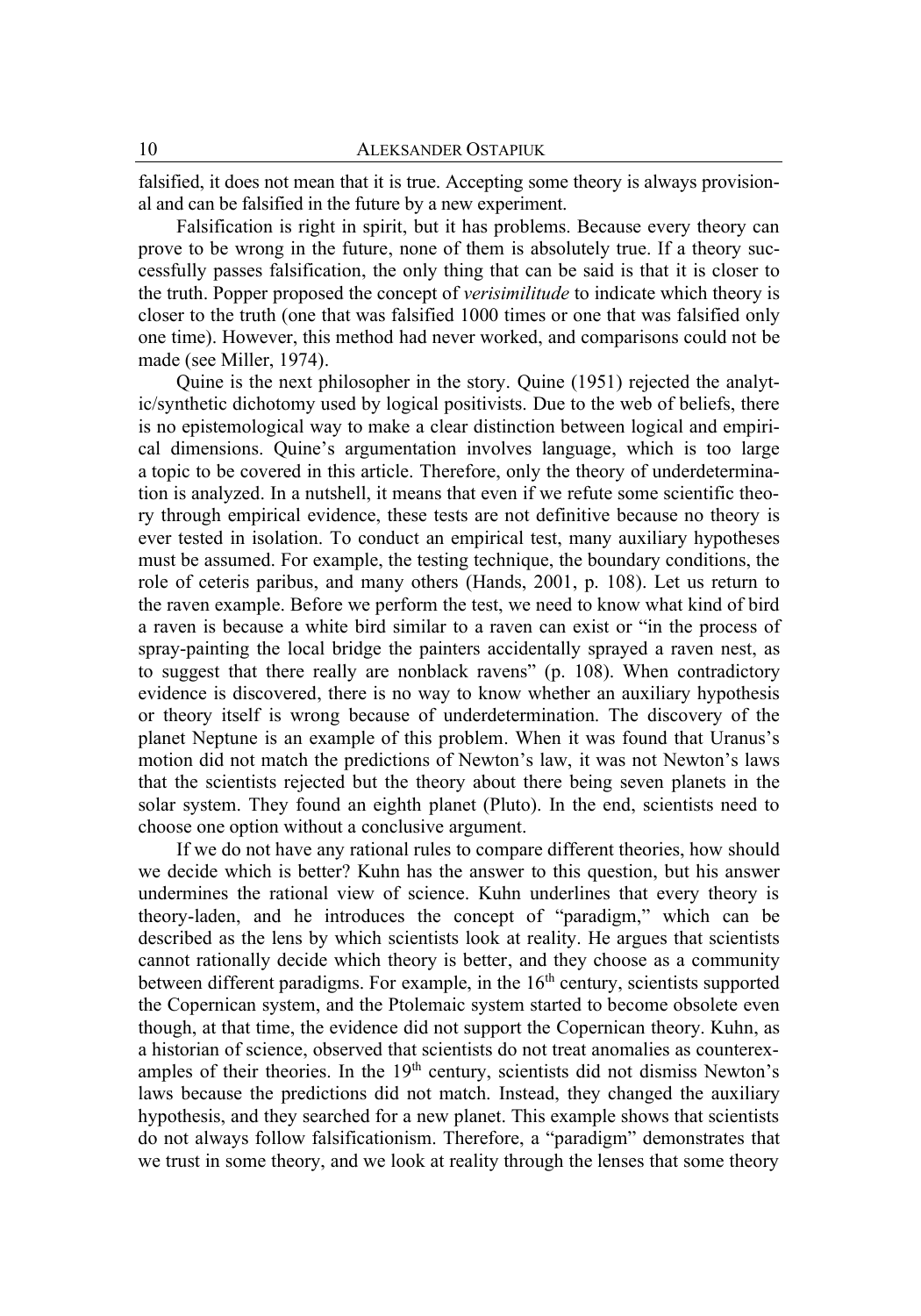falsified, it does not mean that it is true. Accepting some theory is always provisional and can be falsified in the future by a new experiment.

Falsification is right in spirit, but it has problems. Because every theory can prove to be wrong in the future, none of them is absolutely true. If a theory successfully passes falsification, the only thing that can be said is that it is closer to the truth. Popper proposed the concept of *verisimilitude* to indicate which theory is closer to the truth (one that was falsified 1000 times or one that was falsified only one time). However, this method had never worked, and comparisons could not be made (see Miller, 1974).

Quine is the next philosopher in the story. Quine (1951) rejected the analytic/synthetic dichotomy used by logical positivists. Due to the web of beliefs, there is no epistemological way to make a clear distinction between logical and empirical dimensions. Quine's argumentation involves language, which is too large a topic to be covered in this article. Therefore, only the theory of underdetermination is analyzed. In a nutshell, it means that even if we refute some scientific theory through empirical evidence, these tests are not definitive because no theory is ever tested in isolation. To conduct an empirical test, many auxiliary hypotheses must be assumed. For example, the testing technique, the boundary conditions, the role of ceteris paribus, and many others (Hands, 2001, p. 108). Let us return to the raven example. Before we perform the test, we need to know what kind of bird a raven is because a white bird similar to a raven can exist or "in the process of spray-painting the local bridge the painters accidentally sprayed a raven nest, as to suggest that there really are nonblack ravens" (p. 108). When contradictory evidence is discovered, there is no way to know whether an auxiliary hypothesis or theory itself is wrong because of underdetermination. The discovery of the planet Neptune is an example of this problem. When it was found that Uranus's motion did not match the predictions of Newton's law, it was not Newton's laws that the scientists rejected but the theory about there being seven planets in the solar system. They found an eighth planet (Pluto). In the end, scientists need to choose one option without a conclusive argument.

If we do not have any rational rules to compare different theories, how should we decide which is better? Kuhn has the answer to this question, but his answer undermines the rational view of science. Kuhn underlines that every theory is theory-laden, and he introduces the concept of "paradigm," which can be described as the lens by which scientists look at reality. He argues that scientists cannot rationally decide which theory is better, and they choose as a community between different paradigms. For example, in the 16<sup>th</sup> century, scientists supported the Copernican system, and the Ptolemaic system started to become obsolete even though, at that time, the evidence did not support the Copernican theory. Kuhn, as a historian of science, observed that scientists do not treat anomalies as counterexamples of their theories. In the 19<sup>th</sup> century, scientists did not dismiss Newton's laws because the predictions did not match. Instead, they changed the auxiliary hypothesis, and they searched for a new planet. This example shows that scientists do not always follow falsificationism. Therefore, a "paradigm" demonstrates that we trust in some theory, and we look at reality through the lenses that some theory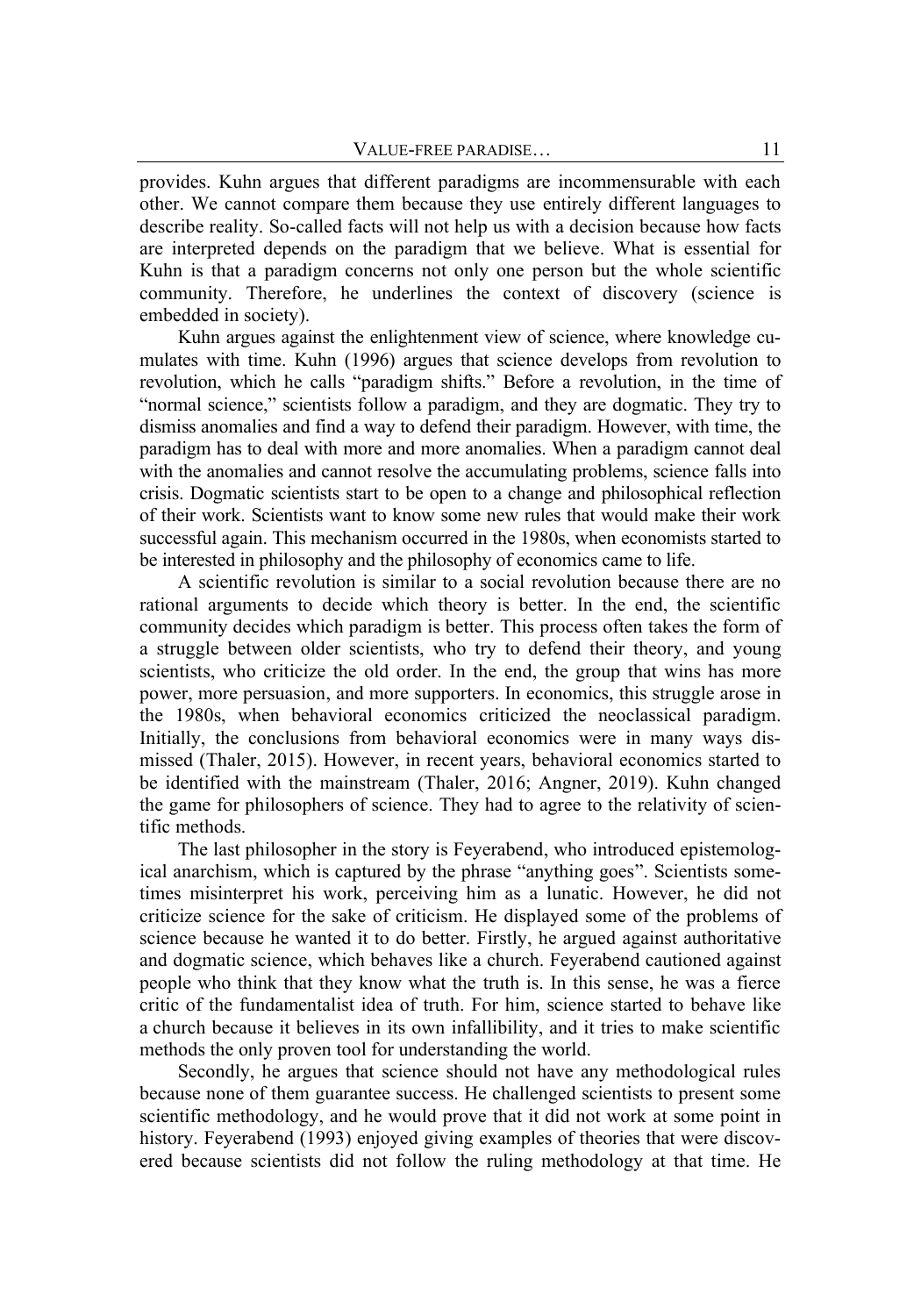provides. Kuhn argues that different paradigms are incommensurable with each other. We cannot compare them because they use entirely different languages to describe reality. So-called facts will not help us with a decision because how facts are interpreted depends on the paradigm that we believe. What is essential for Kuhn is that a paradigm concerns not only one person but the whole scientific community. Therefore, he underlines the context of discovery (science is embedded in society).

Kuhn argues against the enlightenment view of science, where knowledge cumulates with time. Kuhn (1996) argues that science develops from revolution to revolution, which he calls "paradigm shifts." Before a revolution, in the time of "normal science," scientists follow a paradigm, and they are dogmatic. They try to dismiss anomalies and find a way to defend their paradigm. However, with time, the paradigm has to deal with more and more anomalies. When a paradigm cannot deal with the anomalies and cannot resolve the accumulating problems, science falls into crisis. Dogmatic scientists start to be open to a change and philosophical reflection of their work. Scientists want to know some new rules that would make their work successful again. This mechanism occurred in the 1980s, when economists started to be interested in philosophy and the philosophy of economics came to life.

A scientific revolution is similar to a social revolution because there are no rational arguments to decide which theory is better. In the end, the scientific community decides which paradigm is better. This process often takes the form of a struggle between older scientists, who try to defend their theory, and young scientists, who criticize the old order. In the end, the group that wins has more power, more persuasion, and more supporters. In economics, this struggle arose in the 1980s, when behavioral economics criticized the neoclassical paradigm. Initially, the conclusions from behavioral economics were in many ways dismissed (Thaler, 2015). However, in recent years, behavioral economics started to be identified with the mainstream (Thaler, 2016; Angner, 2019). Kuhn changed the game for philosophers of science. They had to agree to the relativity of scientific methods.

The last philosopher in the story is Feyerabend, who introduced epistemological anarchism, which is captured by the phrase "anything goes". Scientists sometimes misinterpret his work, perceiving him as a lunatic. However, he did not criticize science for the sake of criticism. He displayed some of the problems of science because he wanted it to do better. Firstly, he argued against authoritative and dogmatic science, which behaves like a church. Feyerabend cautioned against people who think that they know what the truth is. In this sense, he was a fierce critic of the fundamentalist idea of truth. For him, science started to behave like a church because it believes in its own infallibility, and it tries to make scientific methods the only proven tool for understanding the world.

Secondly, he argues that science should not have any methodological rules because none of them guarantee success. He challenged scientists to present some scientific methodology, and he would prove that it did not work at some point in history. Feyerabend (1993) enjoyed giving examples of theories that were discovered because scientists did not follow the ruling methodology at that time. He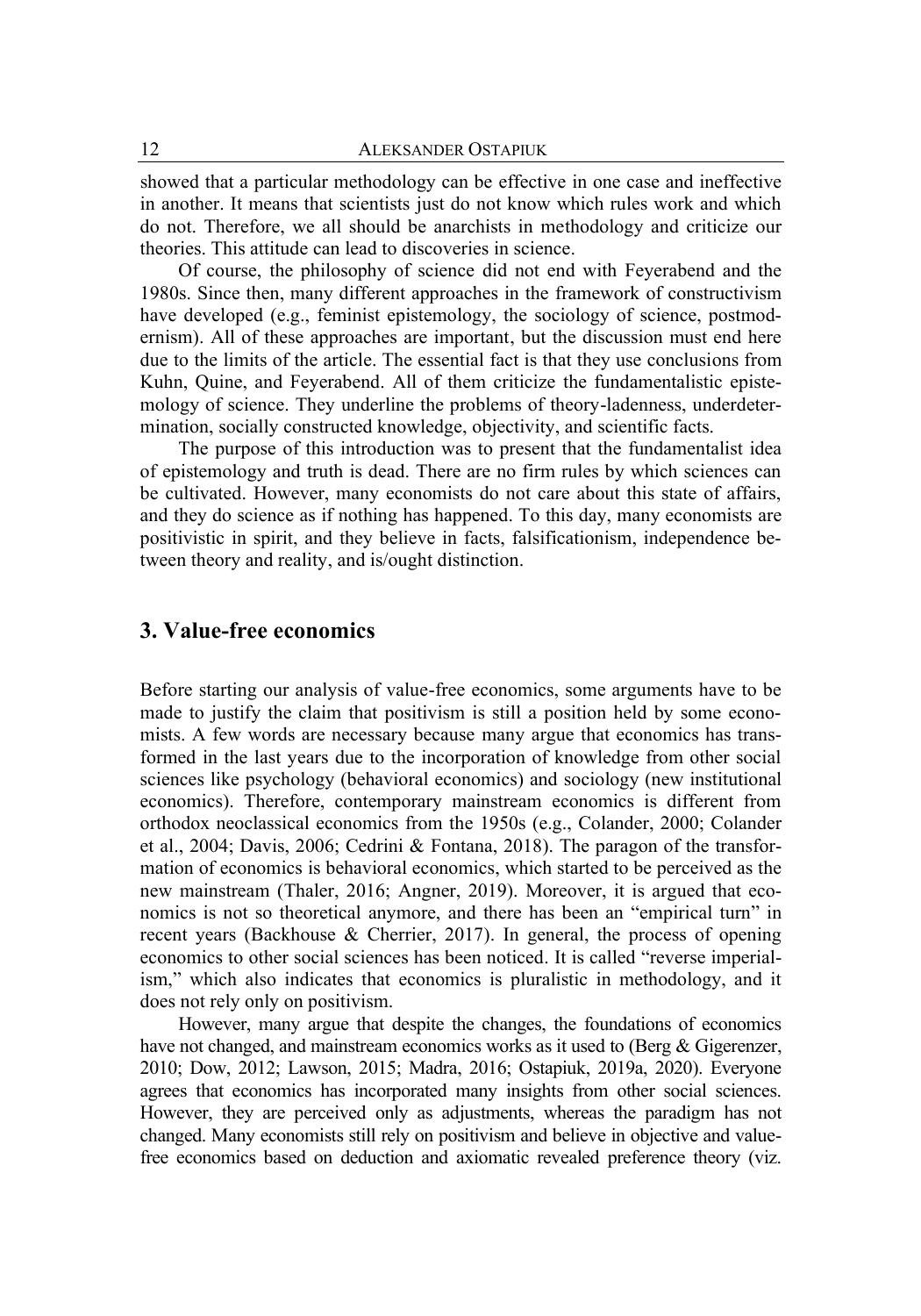showed that a particular methodology can be effective in one case and ineffective in another. It means that scientists just do not know which rules work and which do not. Therefore, we all should be anarchists in methodology and criticize our theories. This attitude can lead to discoveries in science.

Of course, the philosophy of science did not end with Feyerabend and the 1980s. Since then, many different approaches in the framework of constructivism have developed (e.g., feminist epistemology, the sociology of science, postmodernism). All of these approaches are important, but the discussion must end here due to the limits of the article. The essential fact is that they use conclusions from Kuhn, Quine, and Feyerabend. All of them criticize the fundamentalistic epistemology of science. They underline the problems of theory-ladenness, underdetermination, socially constructed knowledge, objectivity, and scientific facts.

The purpose of this introduction was to present that the fundamentalist idea of epistemology and truth is dead. There are no firm rules by which sciences can be cultivated. However, many economists do not care about this state of affairs, and they do science as if nothing has happened. To this day, many economists are positivistic in spirit, and they believe in facts, falsificationism, independence between theory and reality, and is/ought distinction.

### **3. Value-free economics**

Before starting our analysis of value-free economics, some arguments have to be made to justify the claim that positivism is still a position held by some economists. A few words are necessary because many argue that economics has transformed in the last years due to the incorporation of knowledge from other social sciences like psychology (behavioral economics) and sociology (new institutional economics). Therefore, contemporary mainstream economics is different from orthodox neoclassical economics from the 1950s (e.g., Colander, 2000; Colander et al., 2004; Davis, 2006; Cedrini & Fontana, 2018). The paragon of the transformation of economics is behavioral economics, which started to be perceived as the new mainstream (Thaler, 2016; Angner, 2019). Moreover, it is argued that economics is not so theoretical anymore, and there has been an "empirical turn" in recent years (Backhouse & Cherrier, 2017). In general, the process of opening economics to other social sciences has been noticed. It is called "reverse imperialism," which also indicates that economics is pluralistic in methodology, and it does not rely only on positivism.

However, many argue that despite the changes, the foundations of economics have not changed, and mainstream economics works as it used to (Berg & Gigerenzer, 2010; Dow, 2012; Lawson, 2015; Madra, 2016; Ostapiuk, 2019a, 2020). Everyone agrees that economics has incorporated many insights from other social sciences. However, they are perceived only as adjustments, whereas the paradigm has not changed. Many economists still rely on positivism and believe in objective and valuefree economics based on deduction and axiomatic revealed preference theory (viz.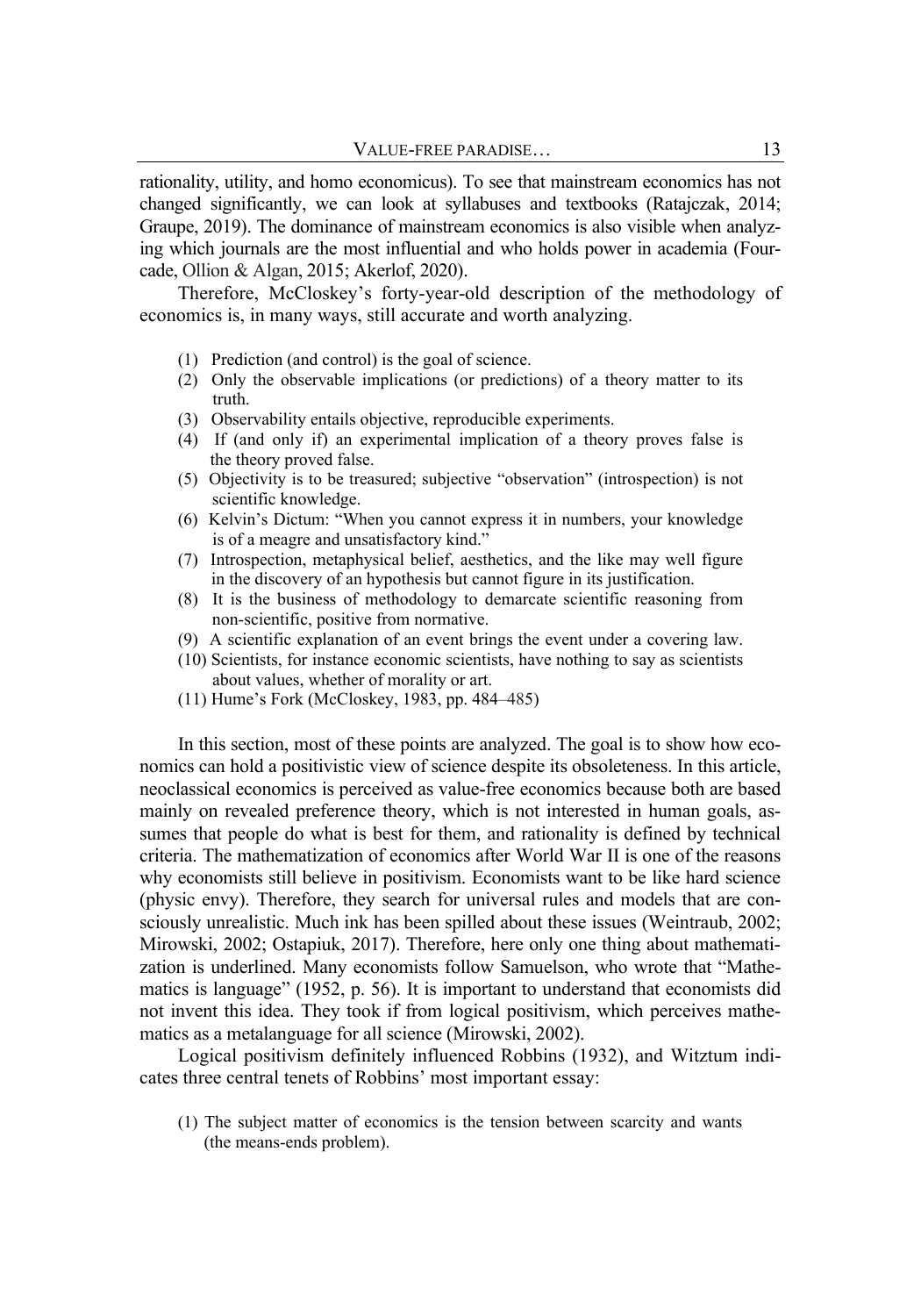rationality, utility, and homo economicus). To see that mainstream economics has not changed significantly, we can look at syllabuses and textbooks (Ratajczak, 2014; Graupe, 2019). The dominance of mainstream economics is also visible when analyzing which journals are the most influential and who holds power in academia (Fourcade, Ollion & Algan, 2015; Akerlof, 2020).

Therefore, McCloskey's forty-year-old description of the methodology of economics is, in many ways, still accurate and worth analyzing.

- (1) Prediction (and control) is the goal of science.
- (2) Only the observable implications (or predictions) of a theory matter to its truth.
- (3) Observability entails objective, reproducible experiments.
- (4) If (and only if) an experimental implication of a theory proves false is the theory proved false.
- (5) Objectivity is to be treasured; subjective "observation" (introspection) is not scientific knowledge.
- (6) Kelvin's Dictum: "When you cannot express it in numbers, your knowledge is of a meagre and unsatisfactory kind."
- (7) Introspection, metaphysical belief, aesthetics, and the like may well figure in the discovery of an hypothesis but cannot figure in its justification.
- (8) It is the business of methodology to demarcate scientific reasoning from non-scientific, positive from normative.
- (9) A scientific explanation of an event brings the event under a covering law.
- (10) Scientists, for instance economic scientists, have nothing to say as scientists about values, whether of morality or art.
- (11) Hume's Fork (McCloskey, 1983, pp. 484–485)

In this section, most of these points are analyzed. The goal is to show how economics can hold a positivistic view of science despite its obsoleteness. In this article, neoclassical economics is perceived as value-free economics because both are based mainly on revealed preference theory, which is not interested in human goals, assumes that people do what is best for them, and rationality is defined by technical criteria. The mathematization of economics after World War II is one of the reasons why economists still believe in positivism. Economists want to be like hard science (physic envy). Therefore, they search for universal rules and models that are consciously unrealistic. Much ink has been spilled about these issues (Weintraub, 2002; Mirowski, 2002; Ostapiuk, 2017). Therefore, here only one thing about mathematization is underlined. Many economists follow Samuelson, who wrote that "Mathematics is language" (1952, p. 56). It is important to understand that economists did not invent this idea. They took if from logical positivism, which perceives mathematics as a metalanguage for all science (Mirowski, 2002).

Logical positivism definitely influenced Robbins (1932), and Witztum indicates three central tenets of Robbins' most important essay:

(1) The subject matter of economics is the tension between scarcity and wants (the means-ends problem).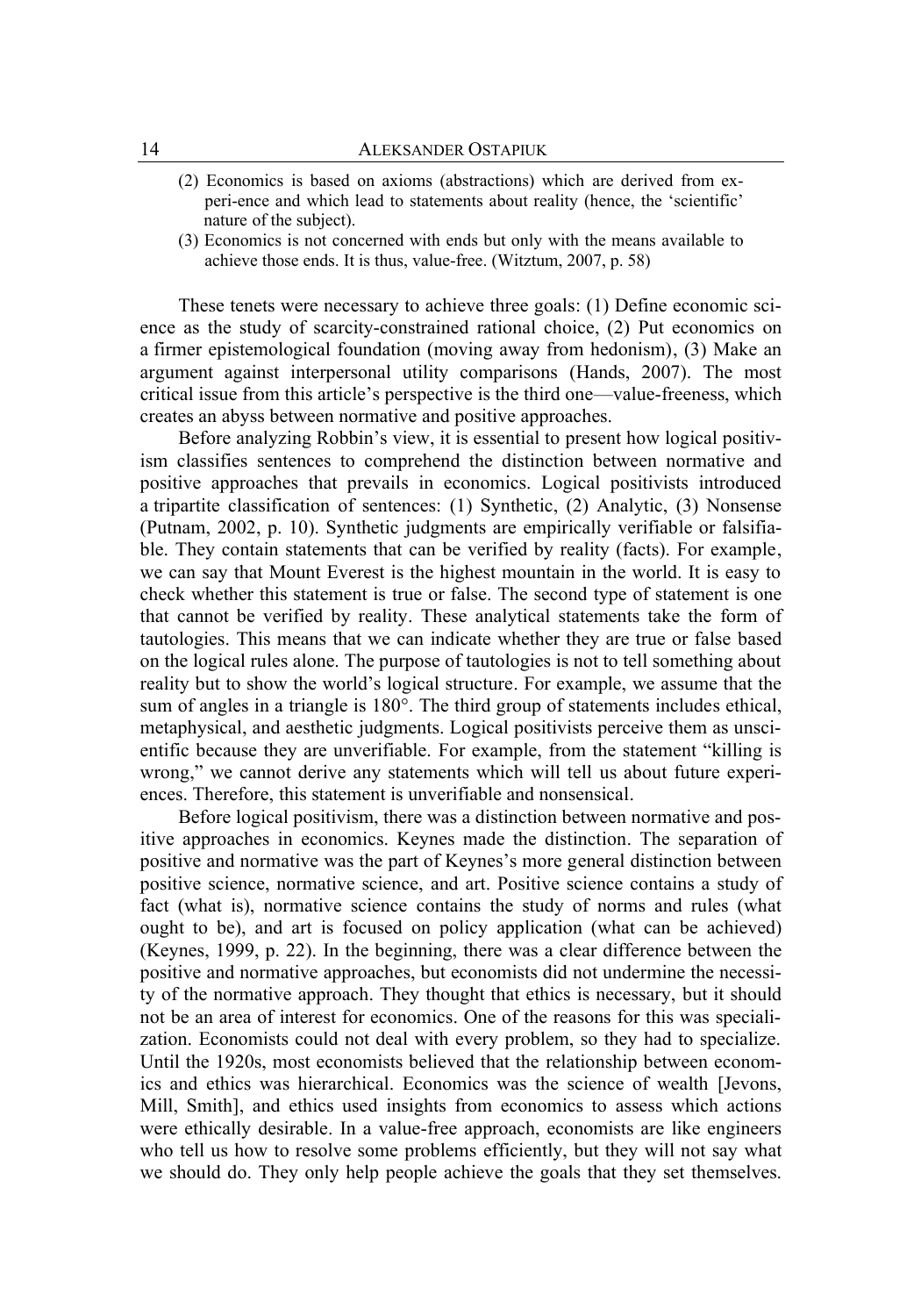- (2) Economics is based on axioms (abstractions) which are derived from ex peri-ence and which lead to statements about reality (hence, the 'scientific' nature of the subject).
- (3) Economics is not concerned with ends but only with the means available to achieve those ends. It is thus, value-free. (Witztum, 2007, p. 58)

These tenets were necessary to achieve three goals: (1) Define economic science as the study of scarcity-constrained rational choice, (2) Put economics on a firmer epistemological foundation (moving away from hedonism), (3) Make an argument against interpersonal utility comparisons (Hands, 2007). The most critical issue from this article's perspective is the third one—value-freeness, which creates an abyss between normative and positive approaches.

Before analyzing Robbin's view, it is essential to present how logical positivism classifies sentences to comprehend the distinction between normative and positive approaches that prevails in economics. Logical positivists introduced a tripartite classification of sentences: (1) Synthetic, (2) Analytic, (3) Nonsense (Putnam, 2002, p. 10). Synthetic judgments are empirically verifiable or falsifiable. They contain statements that can be verified by reality (facts). For example, we can say that Mount Everest is the highest mountain in the world. It is easy to check whether this statement is true or false. The second type of statement is one that cannot be verified by reality. These analytical statements take the form of tautologies. This means that we can indicate whether they are true or false based on the logical rules alone. The purpose of tautologies is not to tell something about reality but to show the world's logical structure. For example, we assume that the sum of angles in a triangle is 180°. The third group of statements includes ethical, metaphysical, and aesthetic judgments. Logical positivists perceive them as unscientific because they are unverifiable. For example, from the statement "killing is wrong," we cannot derive any statements which will tell us about future experiences. Therefore, this statement is unverifiable and nonsensical.

Before logical positivism, there was a distinction between normative and positive approaches in economics. Keynes made the distinction. The separation of positive and normative was the part of Keynes's more general distinction between positive science, normative science, and art. Positive science contains a study of fact (what is), normative science contains the study of norms and rules (what ought to be), and art is focused on policy application (what can be achieved) (Keynes, 1999, p. 22). In the beginning, there was a clear difference between the positive and normative approaches, but economists did not undermine the necessity of the normative approach. They thought that ethics is necessary, but it should not be an area of interest for economics. One of the reasons for this was specialization. Economists could not deal with every problem, so they had to specialize. Until the 1920s, most economists believed that the relationship between economics and ethics was hierarchical. Economics was the science of wealth [Jevons, Mill, Smith], and ethics used insights from economics to assess which actions were ethically desirable. In a value-free approach, economists are like engineers who tell us how to resolve some problems efficiently, but they will not say what we should do. They only help people achieve the goals that they set themselves.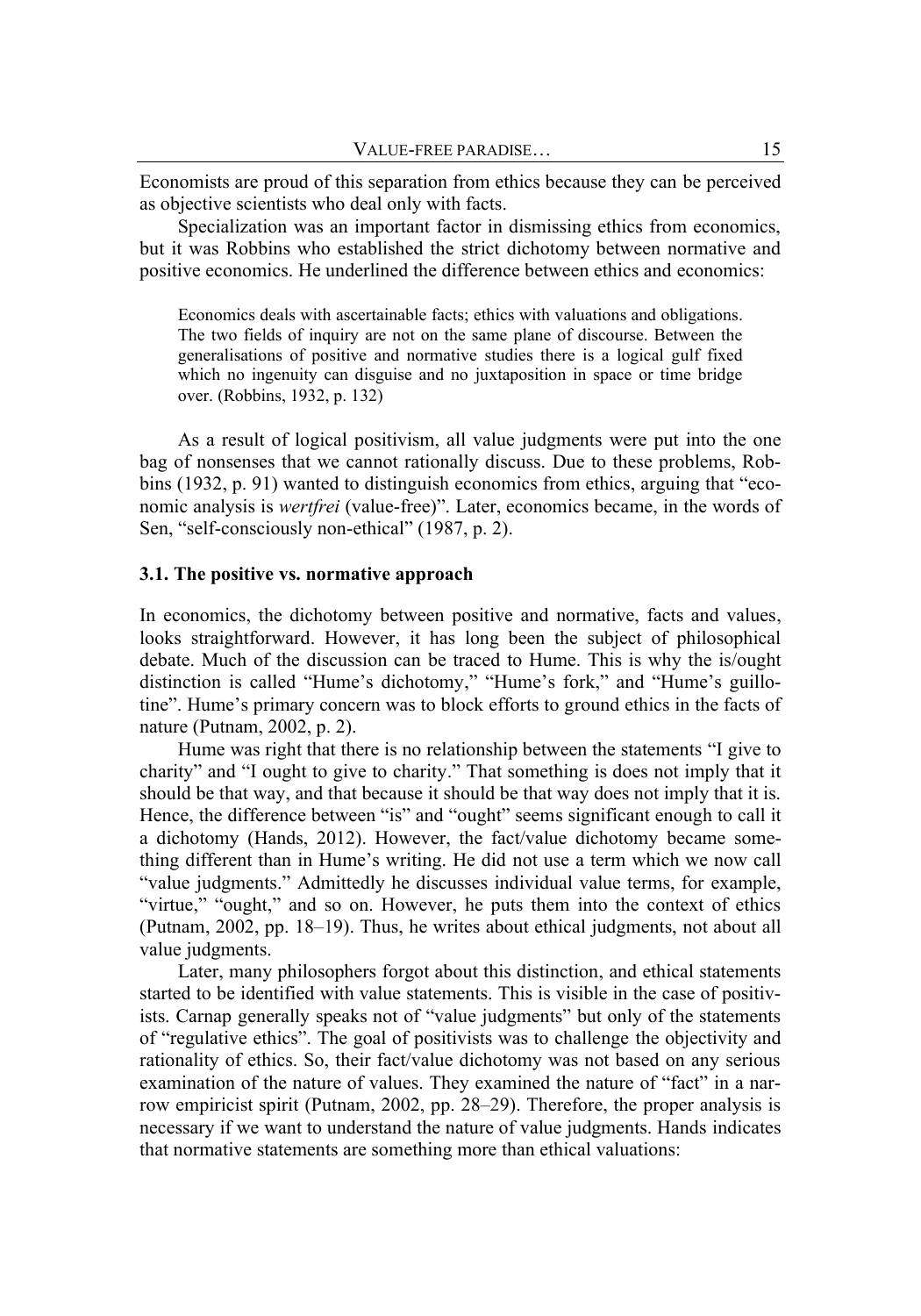Economists are proud of this separation from ethics because they can be perceived as objective scientists who deal only with facts.

Specialization was an important factor in dismissing ethics from economics, but it was Robbins who established the strict dichotomy between normative and positive economics. He underlined the difference between ethics and economics:

Economics deals with ascertainable facts; ethics with valuations and obligations. The two fields of inquiry are not on the same plane of discourse. Between the generalisations of positive and normative studies there is a logical gulf fixed which no ingenuity can disguise and no juxtaposition in space or time bridge over. (Robbins, 1932, p. 132)

As a result of logical positivism, all value judgments were put into the one bag of nonsenses that we cannot rationally discuss. Due to these problems, Robbins (1932, p. 91) wanted to distinguish economics from ethics, arguing that "economic analysis is *wertfrei* (value-free)". Later, economics became, in the words of Sen, "self-consciously non-ethical" (1987, p. 2).

#### **3.1. The positive vs. normative approach**

In economics, the dichotomy between positive and normative, facts and values, looks straightforward. However, it has long been the subject of philosophical debate. Much of the discussion can be traced to Hume. This is why the is/ought distinction is called "Hume's dichotomy," "Hume's fork," and "Hume's guillotine". Hume's primary concern was to block efforts to ground ethics in the facts of nature (Putnam, 2002, p. 2).

Hume was right that there is no relationship between the statements "I give to charity" and "I ought to give to charity." That something is does not imply that it should be that way, and that because it should be that way does not imply that it is. Hence, the difference between "is" and "ought" seems significant enough to call it a dichotomy (Hands, 2012). However, the fact/value dichotomy became something different than in Hume's writing. He did not use a term which we now call "value judgments." Admittedly he discusses individual value terms, for example, "virtue," "ought," and so on. However, he puts them into the context of ethics (Putnam, 2002, pp. 18–19). Thus, he writes about ethical judgments, not about all value judgments.

Later, many philosophers forgot about this distinction, and ethical statements started to be identified with value statements. This is visible in the case of positivists. Carnap generally speaks not of "value judgments" but only of the statements of "regulative ethics". The goal of positivists was to challenge the objectivity and rationality of ethics. So, their fact/value dichotomy was not based on any serious examination of the nature of values. They examined the nature of "fact" in a narrow empiricist spirit (Putnam, 2002, pp. 28–29). Therefore, the proper analysis is necessary if we want to understand the nature of value judgments. Hands indicates that normative statements are something more than ethical valuations: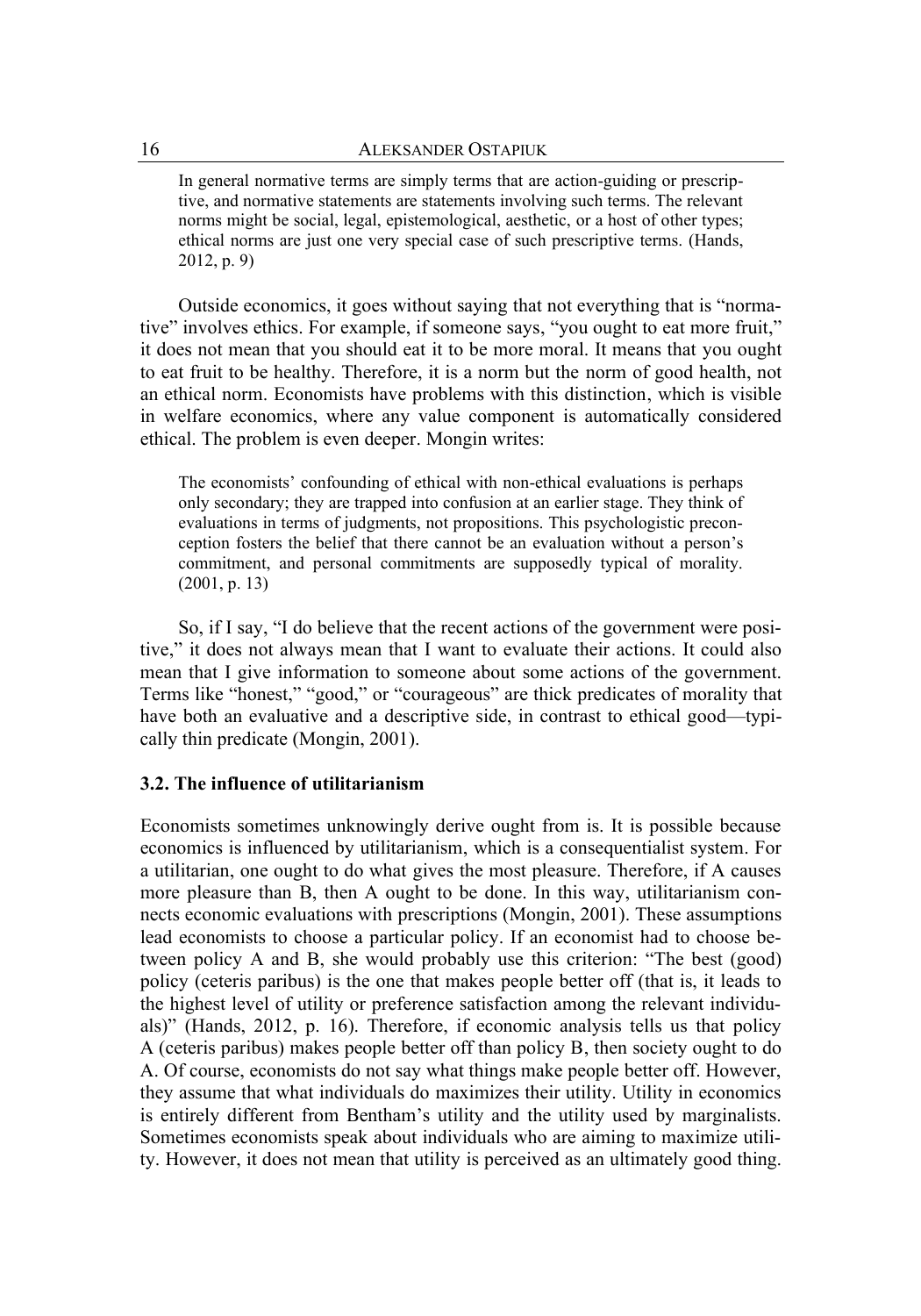In general normative terms are simply terms that are action-guiding or prescriptive, and normative statements are statements involving such terms. The relevant norms might be social, legal, epistemological, aesthetic, or a host of other types; ethical norms are just one very special case of such prescriptive terms. (Hands, 2012, p. 9)

Outside economics, it goes without saying that not everything that is "normative" involves ethics. For example, if someone says, "you ought to eat more fruit," it does not mean that you should eat it to be more moral. It means that you ought to eat fruit to be healthy. Therefore, it is a norm but the norm of good health, not an ethical norm. Economists have problems with this distinction, which is visible in welfare economics, where any value component is automatically considered ethical. The problem is even deeper. Mongin writes:

The economists' confounding of ethical with non-ethical evaluations is perhaps only secondary; they are trapped into confusion at an earlier stage. They think of evaluations in terms of judgments, not propositions. This psychologistic preconception fosters the belief that there cannot be an evaluation without a person's commitment, and personal commitments are supposedly typical of morality. (2001, p. 13)

So, if I say, "I do believe that the recent actions of the government were positive," it does not always mean that I want to evaluate their actions. It could also mean that I give information to someone about some actions of the government. Terms like "honest," "good," or "courageous" are thick predicates of morality that have both an evaluative and a descriptive side, in contrast to ethical good—typically thin predicate (Mongin, 2001).

### **3.2. The influence of utilitarianism**

Economists sometimes unknowingly derive ought from is. It is possible because economics is influenced by utilitarianism, which is a consequentialist system. For a utilitarian, one ought to do what gives the most pleasure. Therefore, if A causes more pleasure than B, then A ought to be done. In this way, utilitarianism connects economic evaluations with prescriptions (Mongin, 2001). These assumptions lead economists to choose a particular policy. If an economist had to choose between policy A and B, she would probably use this criterion: "The best (good) policy (ceteris paribus) is the one that makes people better off (that is, it leads to the highest level of utility or preference satisfaction among the relevant individuals)" (Hands, 2012, p. 16). Therefore, if economic analysis tells us that policy A (ceteris paribus) makes people better off than policy B, then society ought to do A. Of course, economists do not say what things make people better off. However, they assume that what individuals do maximizes their utility. Utility in economics is entirely different from Bentham's utility and the utility used by marginalists. Sometimes economists speak about individuals who are aiming to maximize utility. However, it does not mean that utility is perceived as an ultimately good thing.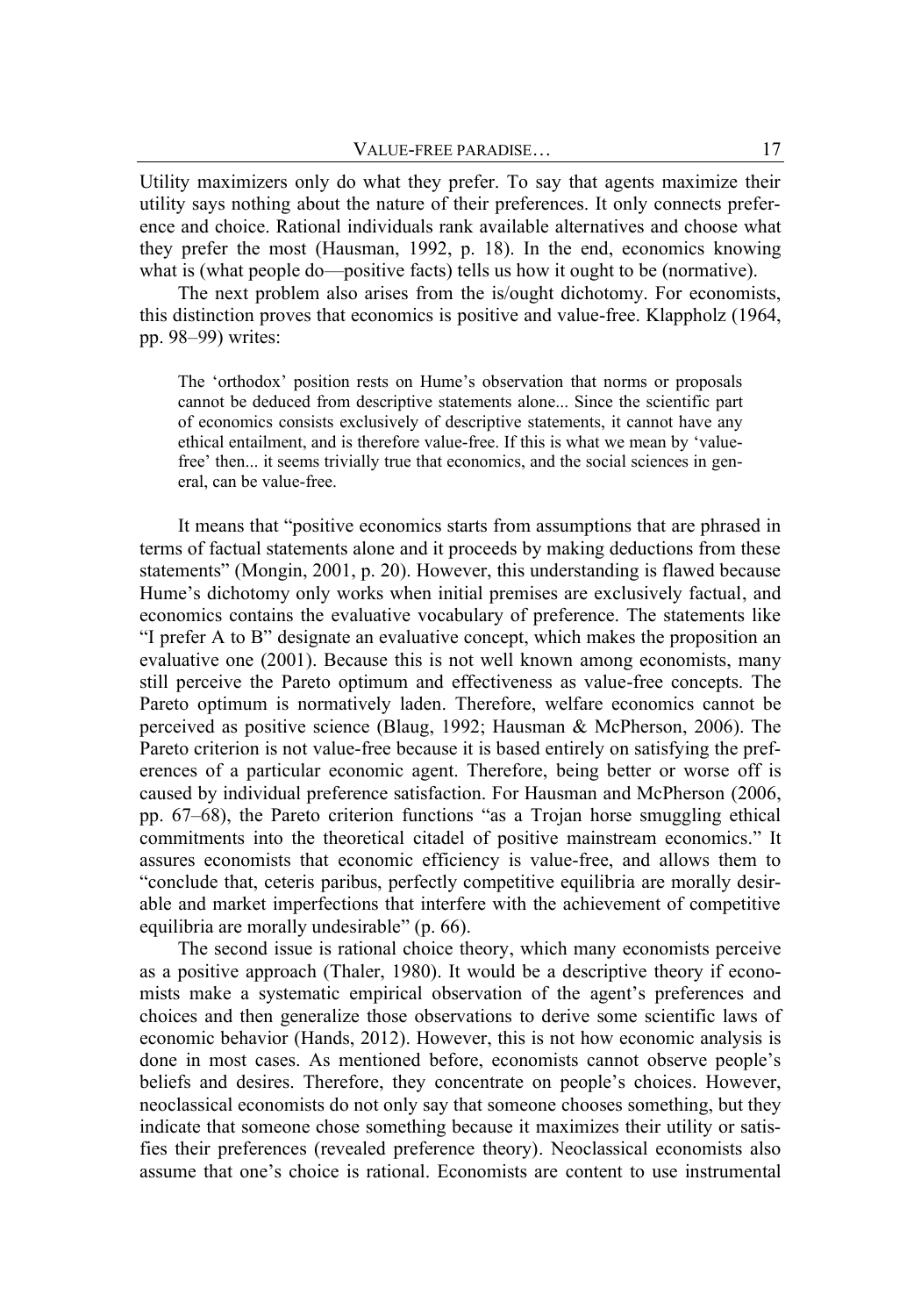Utility maximizers only do what they prefer. To say that agents maximize their utility says nothing about the nature of their preferences. It only connects preference and choice. Rational individuals rank available alternatives and choose what they prefer the most (Hausman, 1992, p. 18). In the end, economics knowing what is (what people do—positive facts) tells us how it ought to be (normative).

The next problem also arises from the is/ought dichotomy. For economists, this distinction proves that economics is positive and value-free. Klappholz (1964, pp. 98–99) writes:

The 'orthodox' position rests on Hume's observation that norms or proposals cannot be deduced from descriptive statements alone... Since the scientific part of economics consists exclusively of descriptive statements, it cannot have any ethical entailment, and is therefore value-free. If this is what we mean by 'valuefree' then... it seems trivially true that economics, and the social sciences in general, can be value-free.

It means that "positive economics starts from assumptions that are phrased in terms of factual statements alone and it proceeds by making deductions from these statements" (Mongin, 2001, p. 20). However, this understanding is flawed because Hume's dichotomy only works when initial premises are exclusively factual, and economics contains the evaluative vocabulary of preference. The statements like "I prefer A to B" designate an evaluative concept, which makes the proposition an evaluative one (2001). Because this is not well known among economists, many still perceive the Pareto optimum and effectiveness as value-free concepts. The Pareto optimum is normatively laden. Therefore, welfare economics cannot be perceived as positive science (Blaug, 1992; Hausman & McPherson, 2006). The Pareto criterion is not value-free because it is based entirely on satisfying the preferences of a particular economic agent. Therefore, being better or worse off is caused by individual preference satisfaction. For Hausman and McPherson (2006, pp. 67–68), the Pareto criterion functions "as a Trojan horse smuggling ethical commitments into the theoretical citadel of positive mainstream economics." It assures economists that economic efficiency is value-free, and allows them to "conclude that, ceteris paribus, perfectly competitive equilibria are morally desirable and market imperfections that interfere with the achievement of competitive equilibria are morally undesirable" (p. 66).

The second issue is rational choice theory, which many economists perceive as a positive approach (Thaler, 1980). It would be a descriptive theory if economists make a systematic empirical observation of the agent's preferences and choices and then generalize those observations to derive some scientific laws of economic behavior (Hands, 2012). However, this is not how economic analysis is done in most cases. As mentioned before, economists cannot observe people's beliefs and desires. Therefore, they concentrate on people's choices. However, neoclassical economists do not only say that someone chooses something, but they indicate that someone chose something because it maximizes their utility or satisfies their preferences (revealed preference theory). Neoclassical economists also assume that one's choice is rational. Economists are content to use instrumental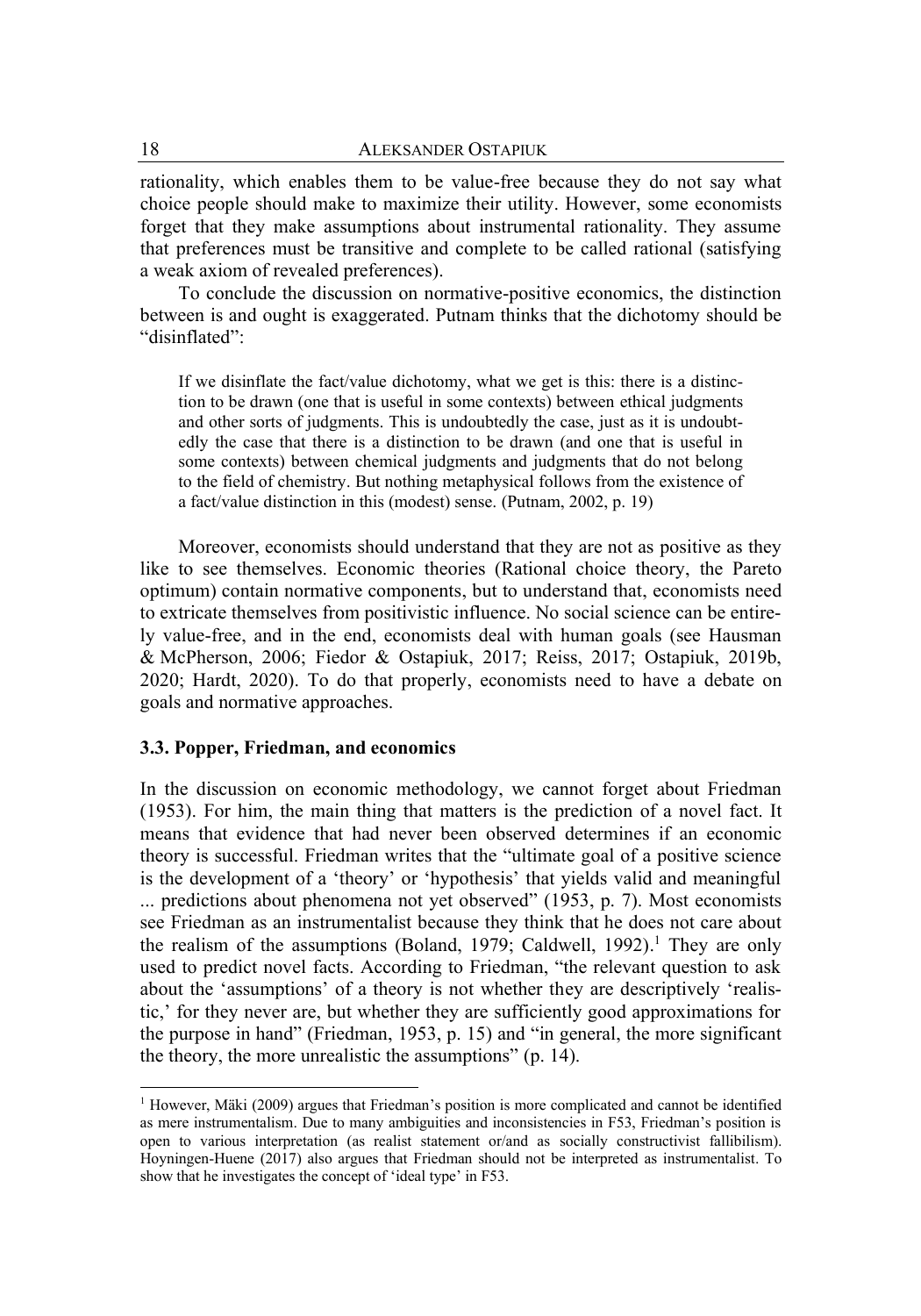rationality, which enables them to be value-free because they do not say what choice people should make to maximize their utility. However, some economists forget that they make assumptions about instrumental rationality. They assume that preferences must be transitive and complete to be called rational (satisfying a weak axiom of revealed preferences).

To conclude the discussion on normative-positive economics, the distinction between is and ought is exaggerated. Putnam thinks that the dichotomy should be "disinflated":

If we disinflate the fact/value dichotomy, what we get is this: there is a distinction to be drawn (one that is useful in some contexts) between ethical judgments and other sorts of judgments. This is undoubtedly the case, just as it is undoubtedly the case that there is a distinction to be drawn (and one that is useful in some contexts) between chemical judgments and judgments that do not belong to the field of chemistry. But nothing metaphysical follows from the existence of a fact/value distinction in this (modest) sense. (Putnam, 2002, p. 19)

Moreover, economists should understand that they are not as positive as they like to see themselves. Economic theories (Rational choice theory, the Pareto optimum) contain normative components, but to understand that, economists need to extricate themselves from positivistic influence. No social science can be entirely value-free, and in the end, economists deal with human goals (see Hausman & McPherson, 2006; Fiedor & Ostapiuk, 2017; Reiss, 2017; Ostapiuk, 2019b, 2020; Hardt, 2020). To do that properly, economists need to have a debate on goals and normative approaches.

#### **3.3. Popper, Friedman, and economics**

In the discussion on economic methodology, we cannot forget about Friedman (1953). For him, the main thing that matters is the prediction of a novel fact. It means that evidence that had never been observed determines if an economic theory is successful. Friedman writes that the "ultimate goal of a positive science is the development of a 'theory' or 'hypothesis' that yields valid and meaningful ... predictions about phenomena not yet observed" (1953, p. 7). Most economists see Friedman as an instrumentalist because they think that he does not care about the realism of the assumptions (Boland, 1979; Caldwell, 1992). <sup>1</sup> They are only used to predict novel facts. According to Friedman, "the relevant question to ask about the 'assumptions' of a theory is not whether they are descriptively 'realistic,' for they never are, but whether they are sufficiently good approximations for the purpose in hand" (Friedman, 1953, p. 15) and "in general, the more significant the theory, the more unrealistic the assumptions" (p. 14).

 $<sup>1</sup>$  However, Mäki (2009) argues that Friedman's position is more complicated and cannot be identified</sup> as mere instrumentalism. Due to many ambiguities and inconsistencies in F53, Friedman's position is open to various interpretation (as realist statement or/and as socially constructivist fallibilism). Hoyningen-Huene (2017) also argues that Friedman should not be interpreted as instrumentalist. To show that he investigates the concept of 'ideal type' in F53.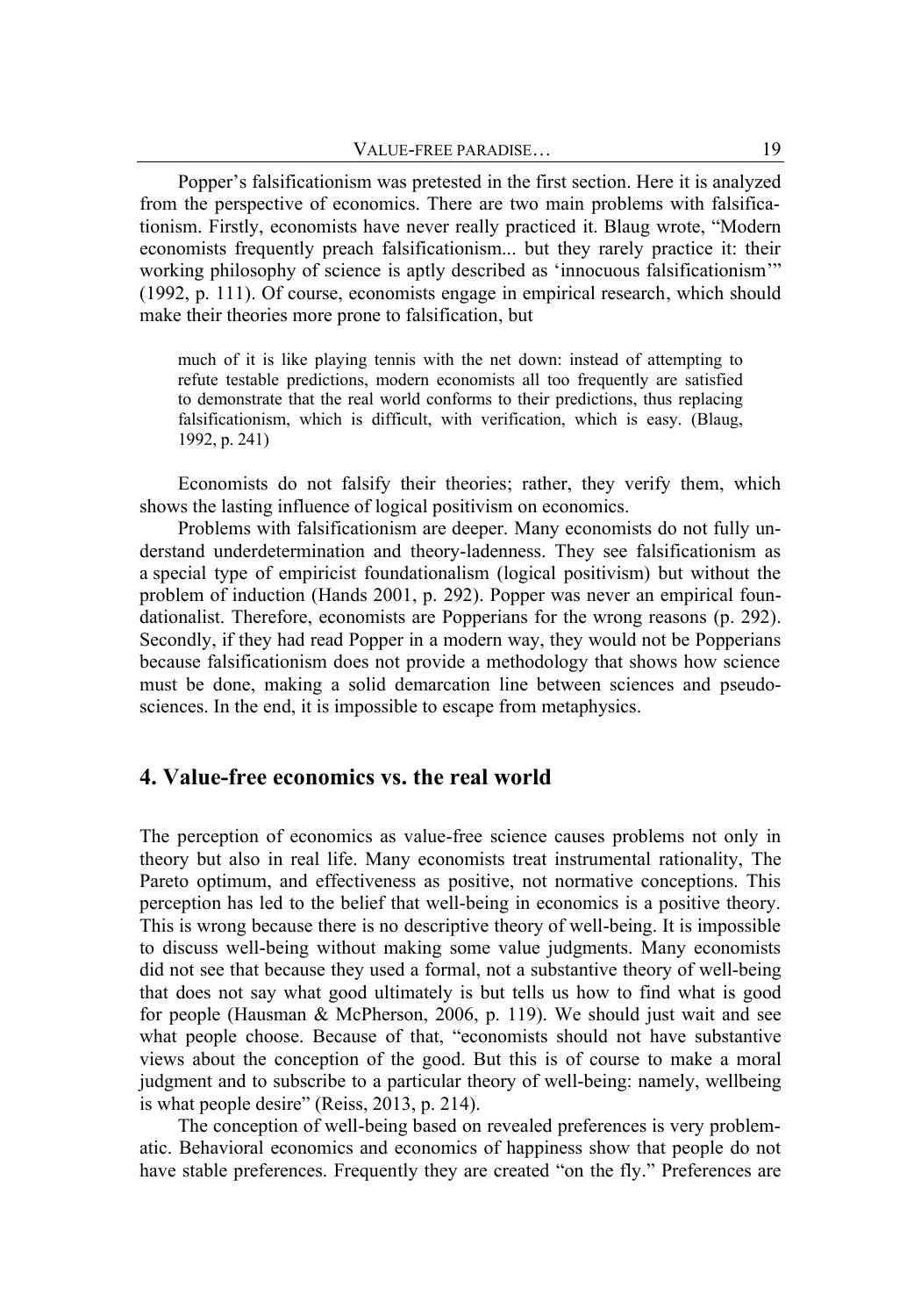Popper's falsificationism was pretested in the first section. Here it is analyzed from the perspective of economics. There are two main problems with falsificationism. Firstly, economists have never really practiced it. Blaug wrote, "Modern economists frequently preach falsificationism... but they rarely practice it: their working philosophy of science is aptly described as 'innocuous falsificationism'" (1992, p. 111). Of course, economists engage in empirical research, which should make their theories more prone to falsification, but

much of it is like playing tennis with the net down: instead of attempting to refute testable predictions, modern economists all too frequently are satisfied to demonstrate that the real world conforms to their predictions, thus replacing falsificationism, which is difficult, with verification, which is easy. (Blaug, 1992, p. 241)

Economists do not falsify their theories; rather, they verify them, which shows the lasting influence of logical positivism on economics.

Problems with falsificationism are deeper. Many economists do not fully understand underdetermination and theory-ladenness. They see falsificationism as a special type of empiricist foundationalism (logical positivism) but without the problem of induction (Hands 2001, p. 292). Popper was never an empirical foundationalist. Therefore, economists are Popperians for the wrong reasons (p. 292). Secondly, if they had read Popper in a modern way, they would not be Popperians because falsificationism does not provide a methodology that shows how science must be done, making a solid demarcation line between sciences and pseudosciences. In the end, it is impossible to escape from metaphysics.

### **4. Value-free economics vs. the real world**

The perception of economics as value-free science causes problems not only in theory but also in real life. Many economists treat instrumental rationality, The Pareto optimum, and effectiveness as positive, not normative conceptions. This perception has led to the belief that well-being in economics is a positive theory. This is wrong because there is no descriptive theory of well-being. It is impossible to discuss well-being without making some value judgments. Many economists did not see that because they used a formal, not a substantive theory of well-being that does not say what good ultimately is but tells us how to find what is good for people (Hausman & McPherson, 2006, p. 119). We should just wait and see what people choose. Because of that, "economists should not have substantive views about the conception of the good. But this is of course to make a moral judgment and to subscribe to a particular theory of well-being: namely, wellbeing is what people desire" (Reiss, 2013, p. 214).

The conception of well-being based on revealed preferences is very problematic. Behavioral economics and economics of happiness show that people do not have stable preferences. Frequently they are created "on the fly." Preferences are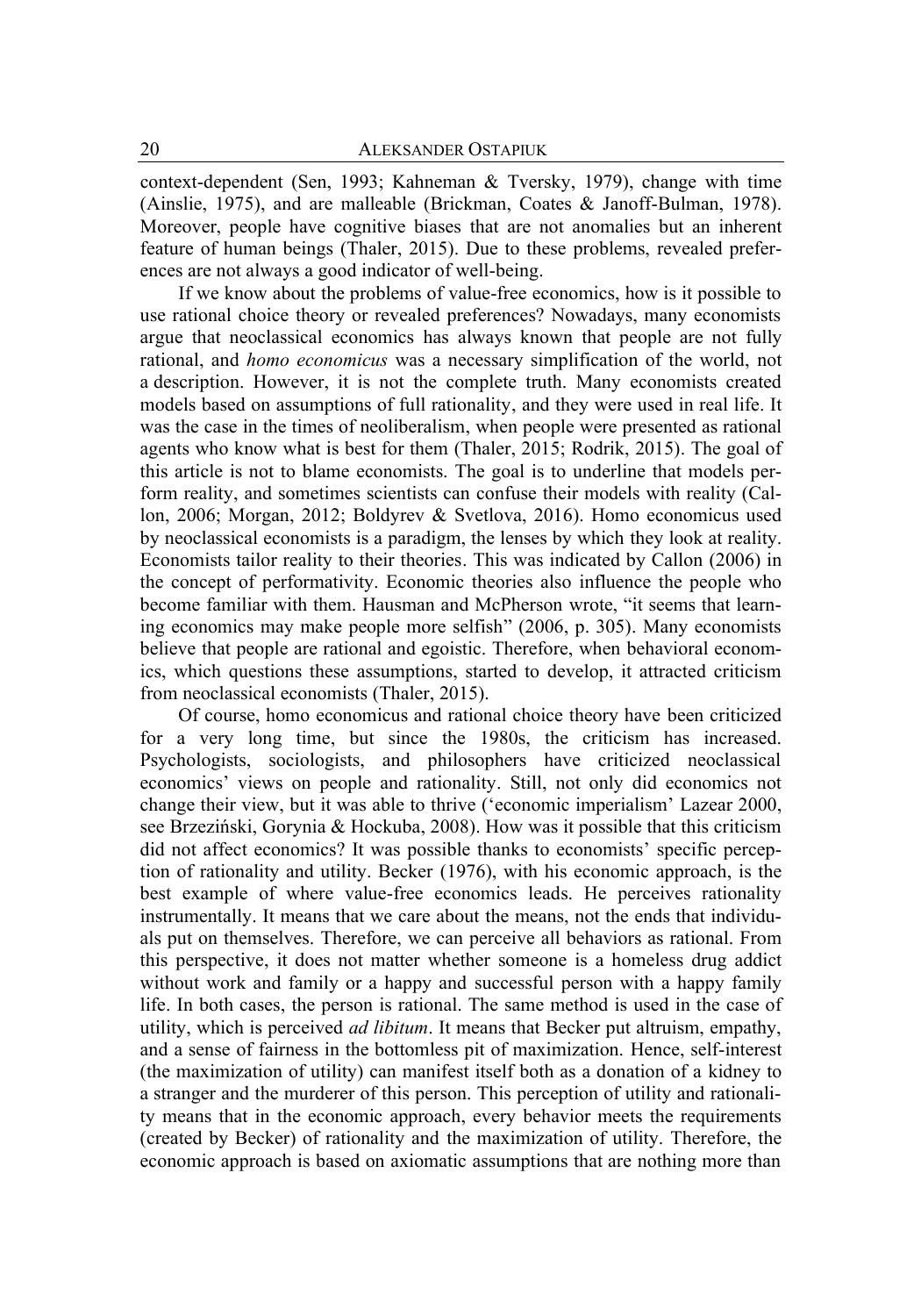context-dependent (Sen, 1993; Kahneman & Tversky, 1979), change with time (Ainslie, 1975), and are malleable (Brickman, Coates & Janoff-Bulman, 1978). Moreover, people have cognitive biases that are not anomalies but an inherent feature of human beings (Thaler, 2015). Due to these problems, revealed preferences are not always a good indicator of well-being.

If we know about the problems of value-free economics, how is it possible to use rational choice theory or revealed preferences? Nowadays, many economists argue that neoclassical economics has always known that people are not fully rational, and *homo economicus* was a necessary simplification of the world, not a description. However, it is not the complete truth. Many economists created models based on assumptions of full rationality, and they were used in real life. It was the case in the times of neoliberalism, when people were presented as rational agents who know what is best for them (Thaler, 2015; Rodrik, 2015). The goal of this article is not to blame economists. The goal is to underline that models perform reality, and sometimes scientists can confuse their models with reality (Callon, 2006; Morgan, 2012; Boldyrev & Svetlova, 2016). Homo economicus used by neoclassical economists is a paradigm, the lenses by which they look at reality. Economists tailor reality to their theories. This was indicated by Callon (2006) in the concept of performativity. Economic theories also influence the people who become familiar with them. Hausman and McPherson wrote, "it seems that learning economics may make people more selfish" (2006, p. 305). Many economists believe that people are rational and egoistic. Therefore, when behavioral economics, which questions these assumptions, started to develop, it attracted criticism from neoclassical economists (Thaler, 2015).

Of course, homo economicus and rational choice theory have been criticized for a very long time, but since the 1980s, the criticism has increased. Psychologists, sociologists, and philosophers have criticized neoclassical economics' views on people and rationality. Still, not only did economics not change their view, but it was able to thrive ('economic imperialism' Lazear 2000, see Brzeziński, Gorynia & Hockuba, 2008). How was it possible that this criticism did not affect economics? It was possible thanks to economists' specific perception of rationality and utility. Becker (1976), with his economic approach, is the best example of where value-free economics leads. He perceives rationality instrumentally. It means that we care about the means, not the ends that individuals put on themselves. Therefore, we can perceive all behaviors as rational. From this perspective, it does not matter whether someone is a homeless drug addict without work and family or a happy and successful person with a happy family life. In both cases, the person is rational. The same method is used in the case of utility, which is perceived *ad libitum*. It means that Becker put altruism, empathy, and a sense of fairness in the bottomless pit of maximization. Hence, self-interest (the maximization of utility) can manifest itself both as a donation of a kidney to a stranger and the murderer of this person. This perception of utility and rationality means that in the economic approach, every behavior meets the requirements (created by Becker) of rationality and the maximization of utility. Therefore, the economic approach is based on axiomatic assumptions that are nothing more than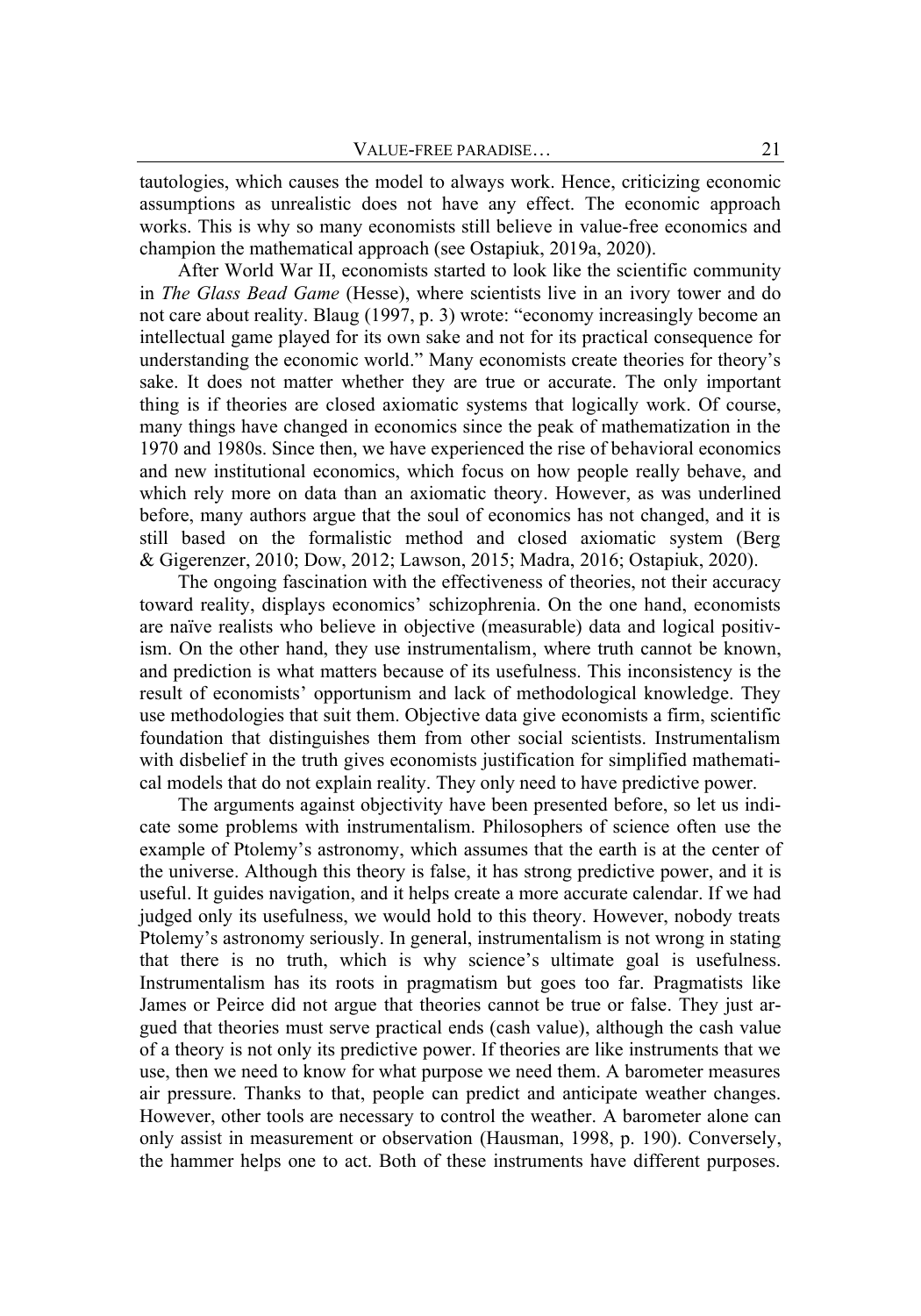tautologies, which causes the model to always work. Hence, criticizing economic assumptions as unrealistic does not have any effect. The economic approach works. This is why so many economists still believe in value-free economics and champion the mathematical approach (see Ostapiuk, 2019a, 2020).

After World War II, economists started to look like the scientific community in *The Glass Bead Game* (Hesse), where scientists live in an ivory tower and do not care about reality. Blaug (1997, p. 3) wrote: "economy increasingly become an intellectual game played for its own sake and not for its practical consequence for understanding the economic world." Many economists create theories for theory's sake. It does not matter whether they are true or accurate. The only important thing is if theories are closed axiomatic systems that logically work. Of course, many things have changed in economics since the peak of mathematization in the 1970 and 1980s. Since then, we have experienced the rise of behavioral economics and new institutional economics, which focus on how people really behave, and which rely more on data than an axiomatic theory. However, as was underlined before, many authors argue that the soul of economics has not changed, and it is still based on the formalistic method and closed axiomatic system (Berg & Gigerenzer, 2010; Dow, 2012; Lawson, 2015; Madra, 2016; Ostapiuk, 2020).

The ongoing fascination with the effectiveness of theories, not their accuracy toward reality, displays economics' schizophrenia. On the one hand, economists are naïve realists who believe in objective (measurable) data and logical positivism. On the other hand, they use instrumentalism, where truth cannot be known, and prediction is what matters because of its usefulness. This inconsistency is the result of economists' opportunism and lack of methodological knowledge. They use methodologies that suit them. Objective data give economists a firm, scientific foundation that distinguishes them from other social scientists. Instrumentalism with disbelief in the truth gives economists justification for simplified mathematical models that do not explain reality. They only need to have predictive power.

The arguments against objectivity have been presented before, so let us indicate some problems with instrumentalism. Philosophers of science often use the example of Ptolemy's astronomy, which assumes that the earth is at the center of the universe. Although this theory is false, it has strong predictive power, and it is useful. It guides navigation, and it helps create a more accurate calendar. If we had judged only its usefulness, we would hold to this theory. However, nobody treats Ptolemy's astronomy seriously. In general, instrumentalism is not wrong in stating that there is no truth, which is why science's ultimate goal is usefulness. Instrumentalism has its roots in pragmatism but goes too far. Pragmatists like James or Peirce did not argue that theories cannot be true or false. They just argued that theories must serve practical ends (cash value), although the cash value of a theory is not only its predictive power. If theories are like instruments that we use, then we need to know for what purpose we need them. A barometer measures air pressure. Thanks to that, people can predict and anticipate weather changes. However, other tools are necessary to control the weather. A barometer alone can only assist in measurement or observation (Hausman, 1998, p. 190). Conversely, the hammer helps one to act. Both of these instruments have different purposes.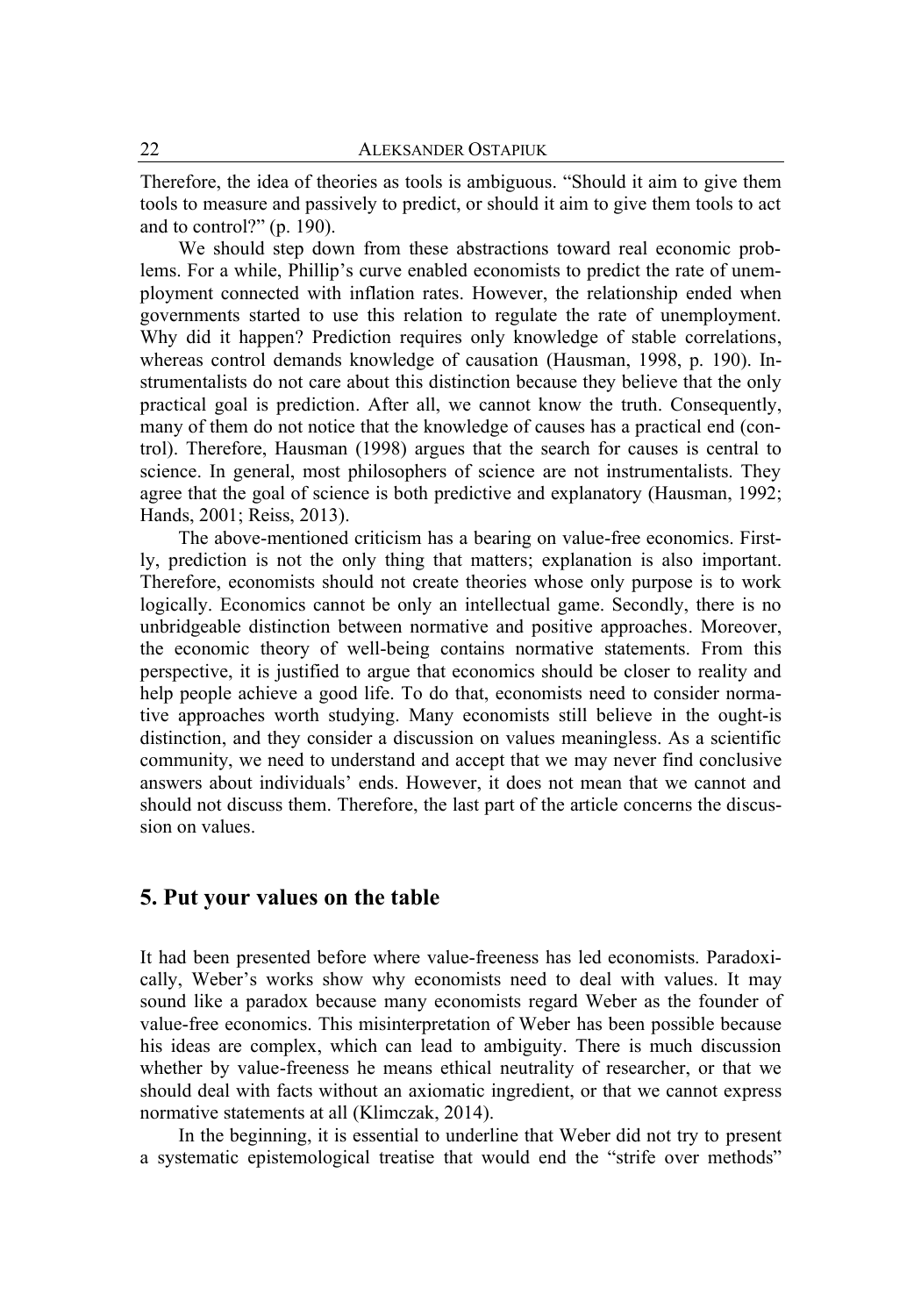Therefore, the idea of theories as tools is ambiguous. "Should it aim to give them tools to measure and passively to predict, or should it aim to give them tools to act and to control?" (p. 190).

We should step down from these abstractions toward real economic problems. For a while, Phillip's curve enabled economists to predict the rate of unemployment connected with inflation rates. However, the relationship ended when governments started to use this relation to regulate the rate of unemployment. Why did it happen? Prediction requires only knowledge of stable correlations, whereas control demands knowledge of causation (Hausman, 1998, p. 190). Instrumentalists do not care about this distinction because they believe that the only practical goal is prediction. After all, we cannot know the truth. Consequently, many of them do not notice that the knowledge of causes has a practical end (control). Therefore, Hausman (1998) argues that the search for causes is central to science. In general, most philosophers of science are not instrumentalists. They agree that the goal of science is both predictive and explanatory (Hausman, 1992; Hands, 2001; Reiss, 2013).

The above-mentioned criticism has a bearing on value-free economics. Firstly, prediction is not the only thing that matters; explanation is also important. Therefore, economists should not create theories whose only purpose is to work logically. Economics cannot be only an intellectual game. Secondly, there is no unbridgeable distinction between normative and positive approaches. Moreover, the economic theory of well-being contains normative statements. From this perspective, it is justified to argue that economics should be closer to reality and help people achieve a good life. To do that, economists need to consider normative approaches worth studying. Many economists still believe in the ought-is distinction, and they consider a discussion on values meaningless. As a scientific community, we need to understand and accept that we may never find conclusive answers about individuals' ends. However, it does not mean that we cannot and should not discuss them. Therefore, the last part of the article concerns the discussion on values.

### **5. Put your values on the table**

It had been presented before where value-freeness has led economists. Paradoxically, Weber's works show why economists need to deal with values. It may sound like a paradox because many economists regard Weber as the founder of value-free economics. This misinterpretation of Weber has been possible because his ideas are complex, which can lead to ambiguity. There is much discussion whether by value-freeness he means ethical neutrality of researcher, or that we should deal with facts without an axiomatic ingredient, or that we cannot express normative statements at all (Klimczak, 2014).

In the beginning, it is essential to underline that Weber did not try to present a systematic epistemological treatise that would end the "strife over methods"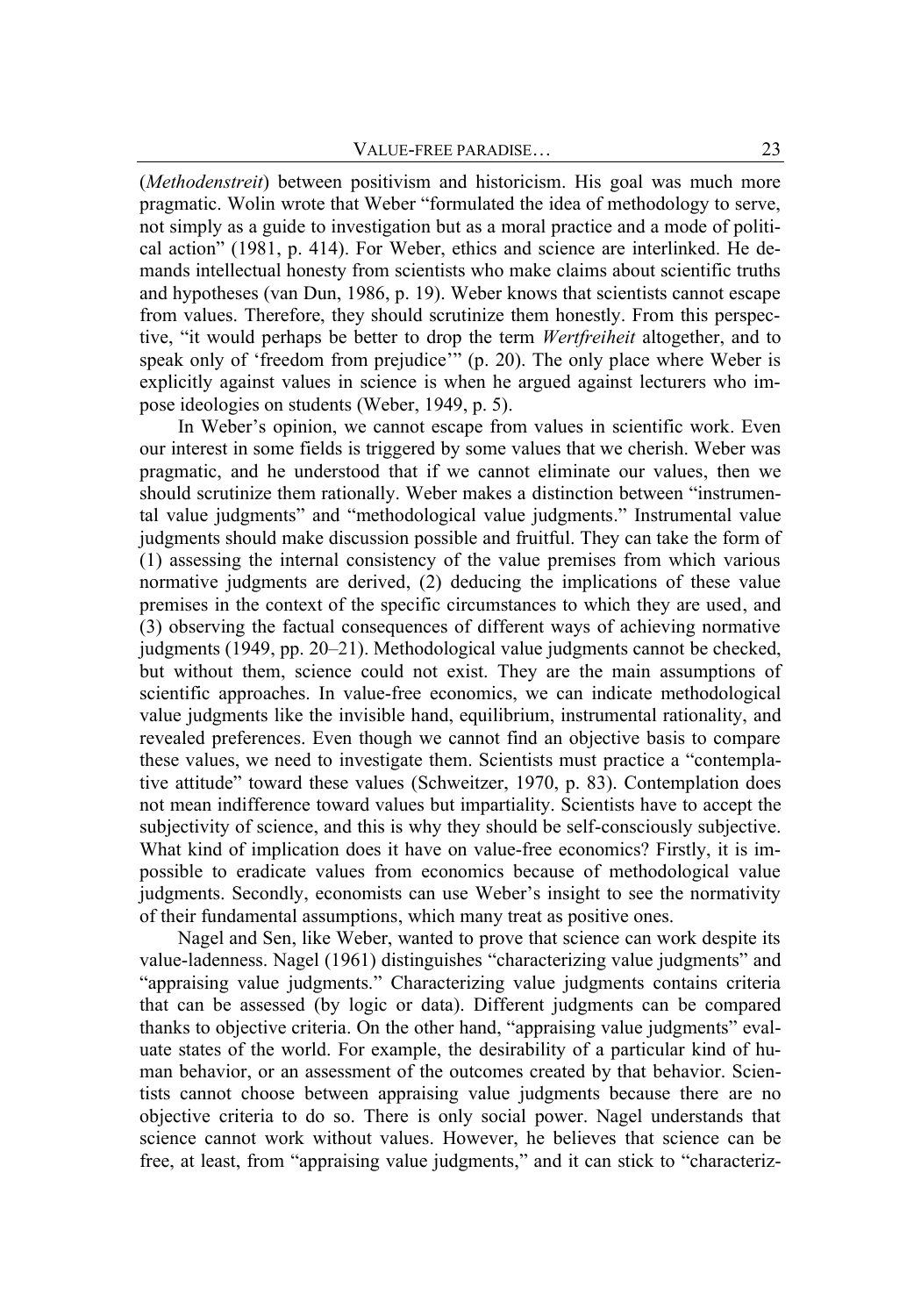(*Methodenstreit*) between positivism and historicism. His goal was much more pragmatic. Wolin wrote that Weber "formulated the idea of methodology to serve, not simply as a guide to investigation but as a moral practice and a mode of political action" (1981, p. 414). For Weber, ethics and science are interlinked. He demands intellectual honesty from scientists who make claims about scientific truths and hypotheses (van Dun, 1986, p. 19). Weber knows that scientists cannot escape from values. Therefore, they should scrutinize them honestly. From this perspective, "it would perhaps be better to drop the term *Wertfreiheit* altogether, and to speak only of 'freedom from prejudice'" (p. 20). The only place where Weber is explicitly against values in science is when he argued against lecturers who impose ideologies on students (Weber, 1949, p. 5).

In Weber's opinion, we cannot escape from values in scientific work. Even our interest in some fields is triggered by some values that we cherish. Weber was pragmatic, and he understood that if we cannot eliminate our values, then we should scrutinize them rationally. Weber makes a distinction between "instrumental value judgments" and "methodological value judgments." Instrumental value judgments should make discussion possible and fruitful. They can take the form of (1) assessing the internal consistency of the value premises from which various normative judgments are derived, (2) deducing the implications of these value premises in the context of the specific circumstances to which they are used, and (3) observing the factual consequences of different ways of achieving normative judgments (1949, pp. 20–21). Methodological value judgments cannot be checked, but without them, science could not exist. They are the main assumptions of scientific approaches. In value-free economics, we can indicate methodological value judgments like the invisible hand, equilibrium, instrumental rationality, and revealed preferences. Even though we cannot find an objective basis to compare these values, we need to investigate them. Scientists must practice a "contemplative attitude" toward these values (Schweitzer, 1970, p. 83). Contemplation does not mean indifference toward values but impartiality. Scientists have to accept the subjectivity of science, and this is why they should be self-consciously subjective. What kind of implication does it have on value-free economics? Firstly, it is impossible to eradicate values from economics because of methodological value judgments. Secondly, economists can use Weber's insight to see the normativity of their fundamental assumptions, which many treat as positive ones.

Nagel and Sen, like Weber, wanted to prove that science can work despite its value-ladenness. Nagel (1961) distinguishes "characterizing value judgments" and "appraising value judgments." Characterizing value judgments contains criteria that can be assessed (by logic or data). Different judgments can be compared thanks to objective criteria. On the other hand, "appraising value judgments" evaluate states of the world. For example, the desirability of a particular kind of human behavior, or an assessment of the outcomes created by that behavior. Scientists cannot choose between appraising value judgments because there are no objective criteria to do so. There is only social power. Nagel understands that science cannot work without values. However, he believes that science can be free, at least, from "appraising value judgments," and it can stick to "characteriz-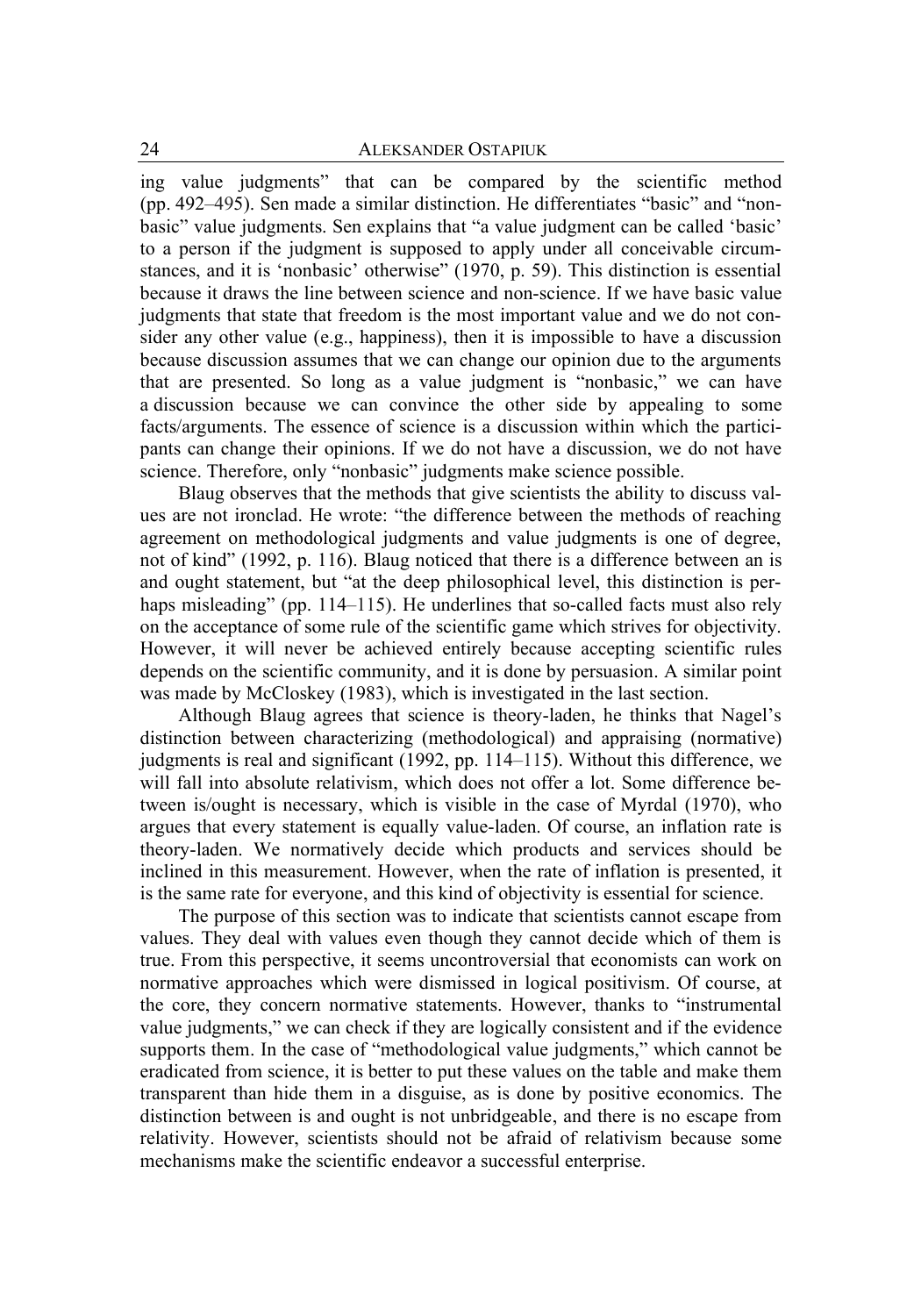ing value judgments" that can be compared by the scientific method (pp. 492–495). Sen made a similar distinction. He differentiates "basic" and "nonbasic" value judgments. Sen explains that "a value judgment can be called 'basic' to a person if the judgment is supposed to apply under all conceivable circumstances, and it is 'nonbasic' otherwise" (1970, p. 59). This distinction is essential because it draws the line between science and non-science. If we have basic value judgments that state that freedom is the most important value and we do not consider any other value (e.g., happiness), then it is impossible to have a discussion because discussion assumes that we can change our opinion due to the arguments that are presented. So long as a value judgment is "nonbasic," we can have a discussion because we can convince the other side by appealing to some facts/arguments. The essence of science is a discussion within which the participants can change their opinions. If we do not have a discussion, we do not have science. Therefore, only "nonbasic" judgments make science possible.

Blaug observes that the methods that give scientists the ability to discuss values are not ironclad. He wrote: "the difference between the methods of reaching agreement on methodological judgments and value judgments is one of degree, not of kind" (1992, p. 116). Blaug noticed that there is a difference between an is and ought statement, but "at the deep philosophical level, this distinction is perhaps misleading" (pp. 114–115). He underlines that so-called facts must also rely on the acceptance of some rule of the scientific game which strives for objectivity. However, it will never be achieved entirely because accepting scientific rules depends on the scientific community, and it is done by persuasion. A similar point was made by McCloskey (1983), which is investigated in the last section.

Although Blaug agrees that science is theory-laden, he thinks that Nagel's distinction between characterizing (methodological) and appraising (normative) judgments is real and significant (1992, pp. 114–115). Without this difference, we will fall into absolute relativism, which does not offer a lot. Some difference between is/ought is necessary, which is visible in the case of Myrdal (1970), who argues that every statement is equally value-laden. Of course, an inflation rate is theory-laden. We normatively decide which products and services should be inclined in this measurement. However, when the rate of inflation is presented, it is the same rate for everyone, and this kind of objectivity is essential for science.

The purpose of this section was to indicate that scientists cannot escape from values. They deal with values even though they cannot decide which of them is true. From this perspective, it seems uncontroversial that economists can work on normative approaches which were dismissed in logical positivism. Of course, at the core, they concern normative statements. However, thanks to "instrumental value judgments," we can check if they are logically consistent and if the evidence supports them. In the case of "methodological value judgments," which cannot be eradicated from science, it is better to put these values on the table and make them transparent than hide them in a disguise, as is done by positive economics. The distinction between is and ought is not unbridgeable, and there is no escape from relativity. However, scientists should not be afraid of relativism because some mechanisms make the scientific endeavor a successful enterprise.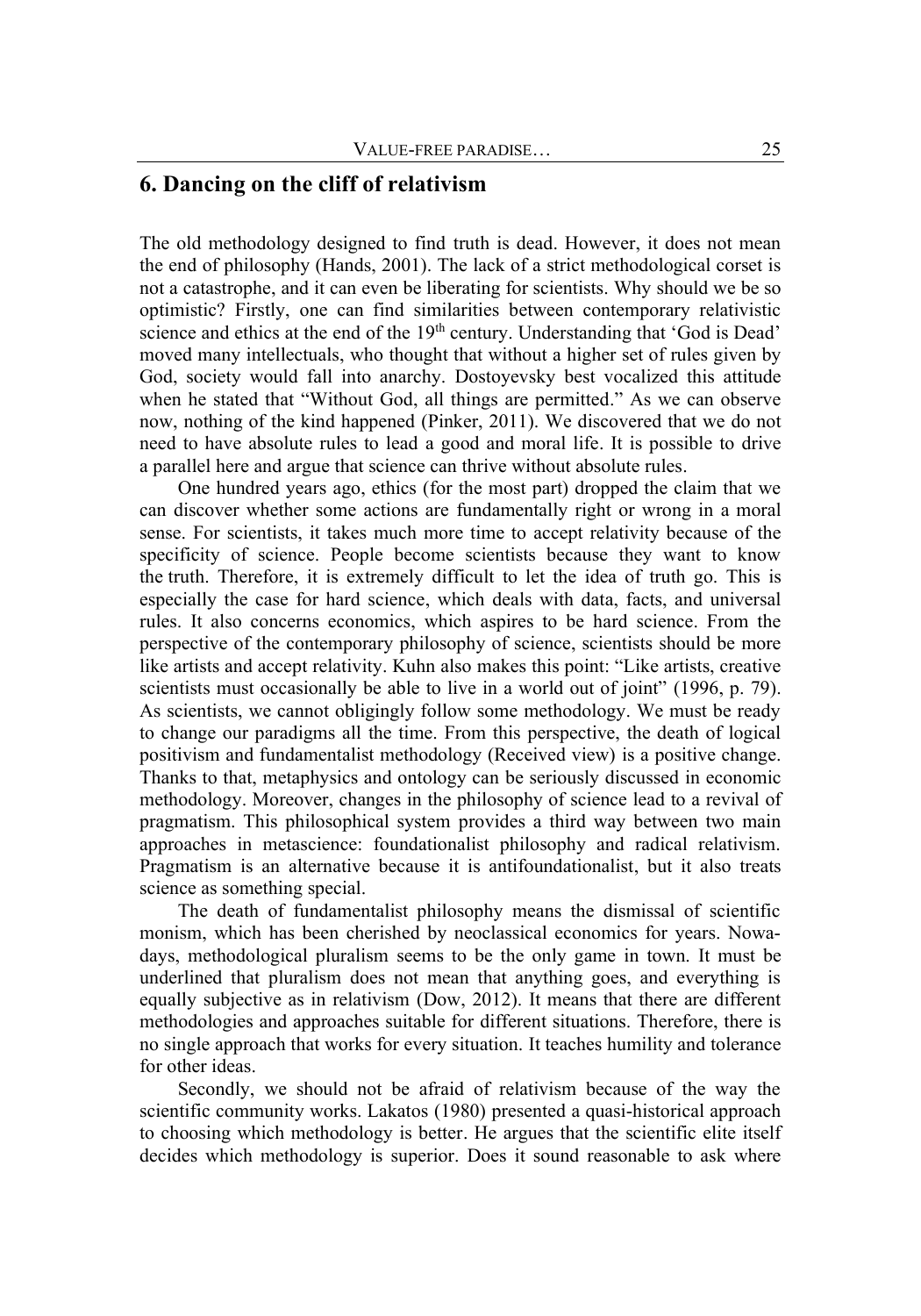### **6. Dancing on the cliff of relativism**

The old methodology designed to find truth is dead. However, it does not mean the end of philosophy (Hands, 2001). The lack of a strict methodological corset is not a catastrophe, and it can even be liberating for scientists. Why should we be so optimistic? Firstly, one can find similarities between contemporary relativistic science and ethics at the end of the 19<sup>th</sup> century. Understanding that 'God is Dead' moved many intellectuals, who thought that without a higher set of rules given by God, society would fall into anarchy. Dostoyevsky best vocalized this attitude when he stated that "Without God, all things are permitted." As we can observe now, nothing of the kind happened (Pinker, 2011). We discovered that we do not need to have absolute rules to lead a good and moral life. It is possible to drive a parallel here and argue that science can thrive without absolute rules.

One hundred years ago, ethics (for the most part) dropped the claim that we can discover whether some actions are fundamentally right or wrong in a moral sense. For scientists, it takes much more time to accept relativity because of the specificity of science. People become scientists because they want to know the truth. Therefore, it is extremely difficult to let the idea of truth go. This is especially the case for hard science, which deals with data, facts, and universal rules. It also concerns economics, which aspires to be hard science. From the perspective of the contemporary philosophy of science, scientists should be more like artists and accept relativity. Kuhn also makes this point: "Like artists, creative scientists must occasionally be able to live in a world out of joint" (1996, p. 79). As scientists, we cannot obligingly follow some methodology. We must be ready to change our paradigms all the time. From this perspective, the death of logical positivism and fundamentalist methodology (Received view) is a positive change. Thanks to that, metaphysics and ontology can be seriously discussed in economic methodology. Moreover, changes in the philosophy of science lead to a revival of pragmatism. This philosophical system provides a third way between two main approaches in metascience: foundationalist philosophy and radical relativism. Pragmatism is an alternative because it is antifoundationalist, but it also treats science as something special.

The death of fundamentalist philosophy means the dismissal of scientific monism, which has been cherished by neoclassical economics for years. Nowadays, methodological pluralism seems to be the only game in town. It must be underlined that pluralism does not mean that anything goes, and everything is equally subjective as in relativism (Dow, 2012). It means that there are different methodologies and approaches suitable for different situations. Therefore, there is no single approach that works for every situation. It teaches humility and tolerance for other ideas.

Secondly, we should not be afraid of relativism because of the way the scientific community works. Lakatos (1980) presented a quasi-historical approach to choosing which methodology is better. He argues that the scientific elite itself decides which methodology is superior. Does it sound reasonable to ask where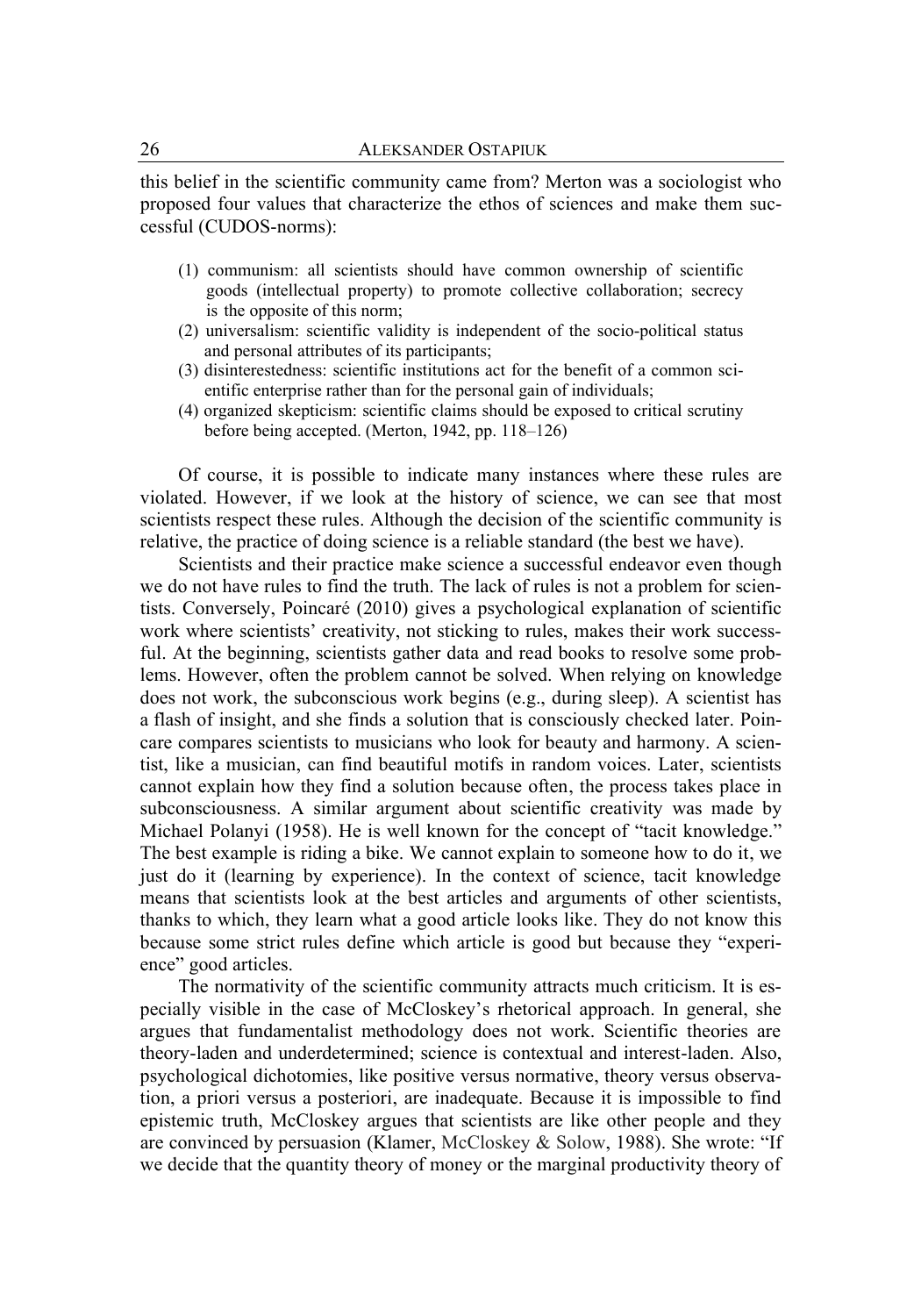this belief in the scientific community came from? Merton was a sociologist who proposed four values that characterize the ethos of sciences and make them successful (CUDOS-norms):

- (1) communism: all scientists should have common ownership of scientific goods (intellectual property) to promote collective collaboration; secrecy is the opposite of this norm;
- (2) universalism: scientific validity is independent of the socio-political status and personal attributes of its participants;
- (3) disinterestedness: scientific institutions act for the benefit of a common sci entific enterprise rather than for the personal gain of individuals;
- (4) organized skepticism: scientific claims should be exposed to critical scrutiny before being accepted. (Merton, 1942, pp. 118–126)

Of course, it is possible to indicate many instances where these rules are violated. However, if we look at the history of science, we can see that most scientists respect these rules. Although the decision of the scientific community is relative, the practice of doing science is a reliable standard (the best we have).

Scientists and their practice make science a successful endeavor even though we do not have rules to find the truth. The lack of rules is not a problem for scientists. Conversely, Poincaré (2010) gives a psychological explanation of scientific work where scientists' creativity, not sticking to rules, makes their work successful. At the beginning, scientists gather data and read books to resolve some problems. However, often the problem cannot be solved. When relying on knowledge does not work, the subconscious work begins (e.g., during sleep). A scientist has a flash of insight, and she finds a solution that is consciously checked later. Poincare compares scientists to musicians who look for beauty and harmony. A scientist, like a musician, can find beautiful motifs in random voices. Later, scientists cannot explain how they find a solution because often, the process takes place in subconsciousness. A similar argument about scientific creativity was made by Michael Polanyi (1958). He is well known for the concept of "tacit knowledge." The best example is riding a bike. We cannot explain to someone how to do it, we just do it (learning by experience). In the context of science, tacit knowledge means that scientists look at the best articles and arguments of other scientists, thanks to which, they learn what a good article looks like. They do not know this because some strict rules define which article is good but because they "experience" good articles.

The normativity of the scientific community attracts much criticism. It is especially visible in the case of McCloskey's rhetorical approach. In general, she argues that fundamentalist methodology does not work. Scientific theories are theory-laden and underdetermined; science is contextual and interest-laden. Also, psychological dichotomies, like positive versus normative, theory versus observation, a priori versus a posteriori, are inadequate. Because it is impossible to find epistemic truth, McCloskey argues that scientists are like other people and they are convinced by persuasion (Klamer, McCloskey & Solow, 1988). She wrote: "If we decide that the quantity theory of money or the marginal productivity theory of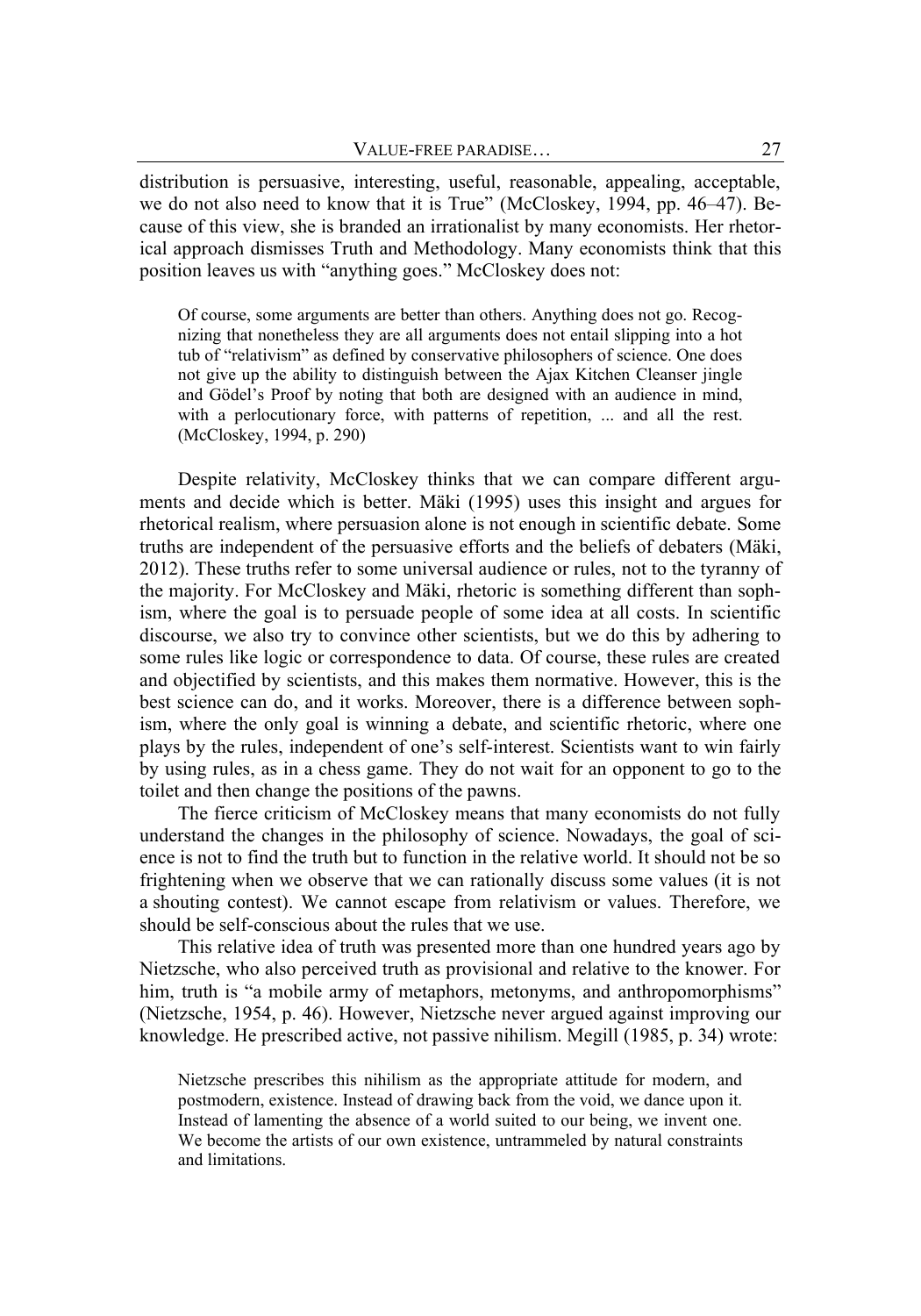distribution is persuasive, interesting, useful, reasonable, appealing, acceptable, we do not also need to know that it is True" (McCloskey, 1994, pp. 46–47). Because of this view, she is branded an irrationalist by many economists. Her rhetorical approach dismisses Truth and Methodology. Many economists think that this position leaves us with "anything goes." McCloskey does not:

Of course, some arguments are better than others. Anything does not go. Recognizing that nonetheless they are all arguments does not entail slipping into a hot tub of "relativism" as defined by conservative philosophers of science. One does not give up the ability to distinguish between the Ajax Kitchen Cleanser jingle and Gödel's Proof by noting that both are designed with an audience in mind, with a perlocutionary force, with patterns of repetition, ... and all the rest. (McCloskey, 1994, p. 290)

Despite relativity, McCloskey thinks that we can compare different arguments and decide which is better. Mäki (1995) uses this insight and argues for rhetorical realism, where persuasion alone is not enough in scientific debate. Some truths are independent of the persuasive efforts and the beliefs of debaters (Mäki, 2012). These truths refer to some universal audience or rules, not to the tyranny of the majority. For McCloskey and Mäki, rhetoric is something different than sophism, where the goal is to persuade people of some idea at all costs. In scientific discourse, we also try to convince other scientists, but we do this by adhering to some rules like logic or correspondence to data. Of course, these rules are created and objectified by scientists, and this makes them normative. However, this is the best science can do, and it works. Moreover, there is a difference between sophism, where the only goal is winning a debate, and scientific rhetoric, where one plays by the rules, independent of one's self-interest. Scientists want to win fairly by using rules, as in a chess game. They do not wait for an opponent to go to the toilet and then change the positions of the pawns.

The fierce criticism of McCloskey means that many economists do not fully understand the changes in the philosophy of science. Nowadays, the goal of science is not to find the truth but to function in the relative world. It should not be so frightening when we observe that we can rationally discuss some values (it is not a shouting contest). We cannot escape from relativism or values. Therefore, we should be self-conscious about the rules that we use.

This relative idea of truth was presented more than one hundred years ago by Nietzsche, who also perceived truth as provisional and relative to the knower. For him, truth is "a mobile army of metaphors, metonyms, and anthropomorphisms" (Nietzsche, 1954, p. 46). However, Nietzsche never argued against improving our knowledge. He prescribed active, not passive nihilism. Megill (1985, p. 34) wrote:

Nietzsche prescribes this nihilism as the appropriate attitude for modern, and postmodern, existence. Instead of drawing back from the void, we dance upon it. Instead of lamenting the absence of a world suited to our being, we invent one. We become the artists of our own existence, untrammeled by natural constraints and limitations.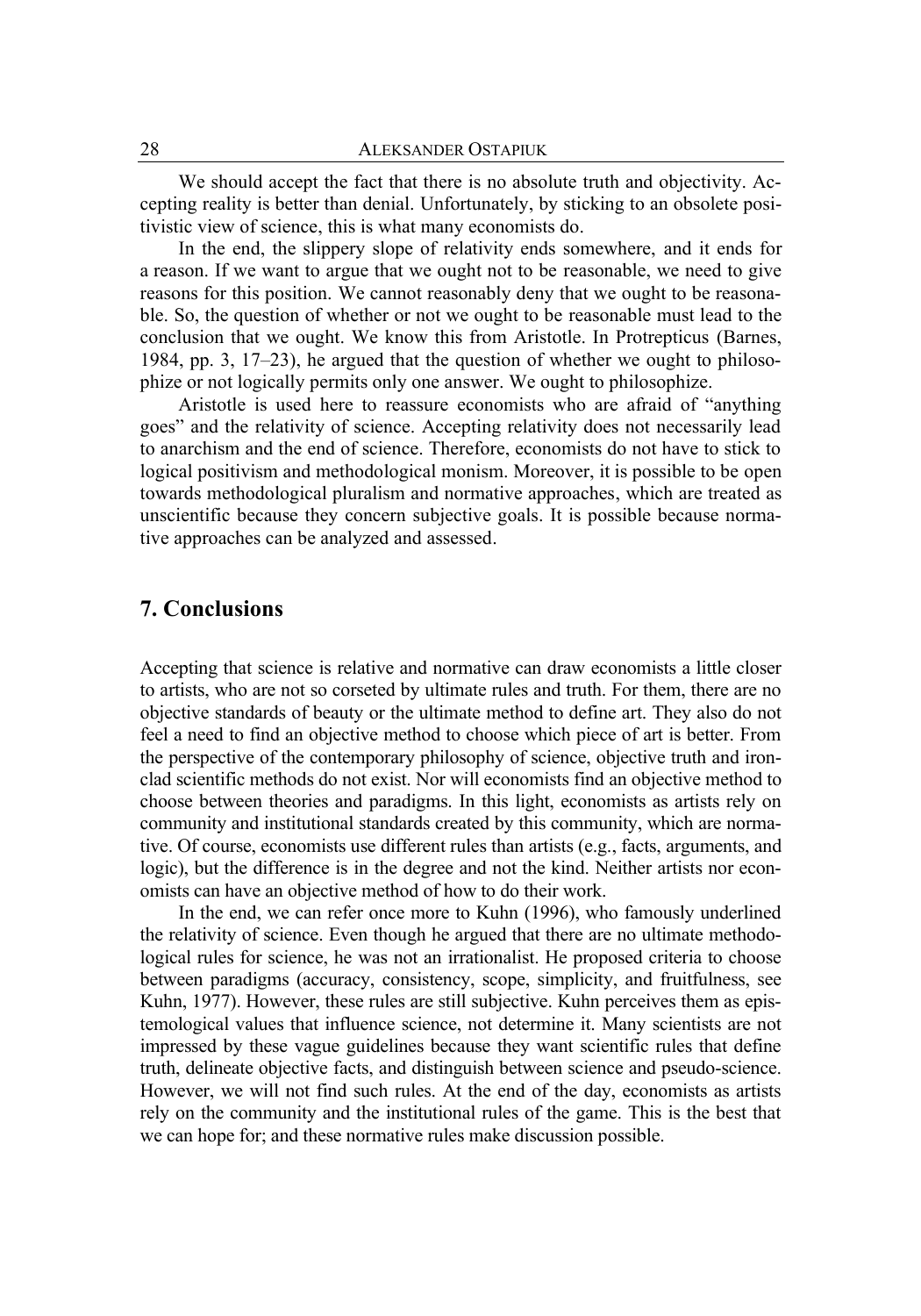We should accept the fact that there is no absolute truth and objectivity. Accepting reality is better than denial. Unfortunately, by sticking to an obsolete positivistic view of science, this is what many economists do.

In the end, the slippery slope of relativity ends somewhere, and it ends for a reason. If we want to argue that we ought not to be reasonable, we need to give reasons for this position. We cannot reasonably deny that we ought to be reasonable. So, the question of whether or not we ought to be reasonable must lead to the conclusion that we ought. We know this from Aristotle. In Protrepticus (Barnes, 1984, pp. 3, 17–23), he argued that the question of whether we ought to philosophize or not logically permits only one answer. We ought to philosophize.

Aristotle is used here to reassure economists who are afraid of "anything goes" and the relativity of science. Accepting relativity does not necessarily lead to anarchism and the end of science. Therefore, economists do not have to stick to logical positivism and methodological monism. Moreover, it is possible to be open towards methodological pluralism and normative approaches, which are treated as unscientific because they concern subjective goals. It is possible because normative approaches can be analyzed and assessed.

## **7. Conclusions**

Accepting that science is relative and normative can draw economists a little closer to artists, who are not so corseted by ultimate rules and truth. For them, there are no objective standards of beauty or the ultimate method to define art. They also do not feel a need to find an objective method to choose which piece of art is better. From the perspective of the contemporary philosophy of science, objective truth and ironclad scientific methods do not exist. Nor will economists find an objective method to choose between theories and paradigms. In this light, economists as artists rely on community and institutional standards created by this community, which are normative. Of course, economists use different rules than artists (e.g., facts, arguments, and logic), but the difference is in the degree and not the kind. Neither artists nor economists can have an objective method of how to do their work.

In the end, we can refer once more to Kuhn (1996), who famously underlined the relativity of science. Even though he argued that there are no ultimate methodological rules for science, he was not an irrationalist. He proposed criteria to choose between paradigms (accuracy, consistency, scope, simplicity, and fruitfulness, see Kuhn, 1977). However, these rules are still subjective. Kuhn perceives them as epistemological values that influence science, not determine it. Many scientists are not impressed by these vague guidelines because they want scientific rules that define truth, delineate objective facts, and distinguish between science and pseudo-science. However, we will not find such rules. At the end of the day, economists as artists rely on the community and the institutional rules of the game. This is the best that we can hope for; and these normative rules make discussion possible.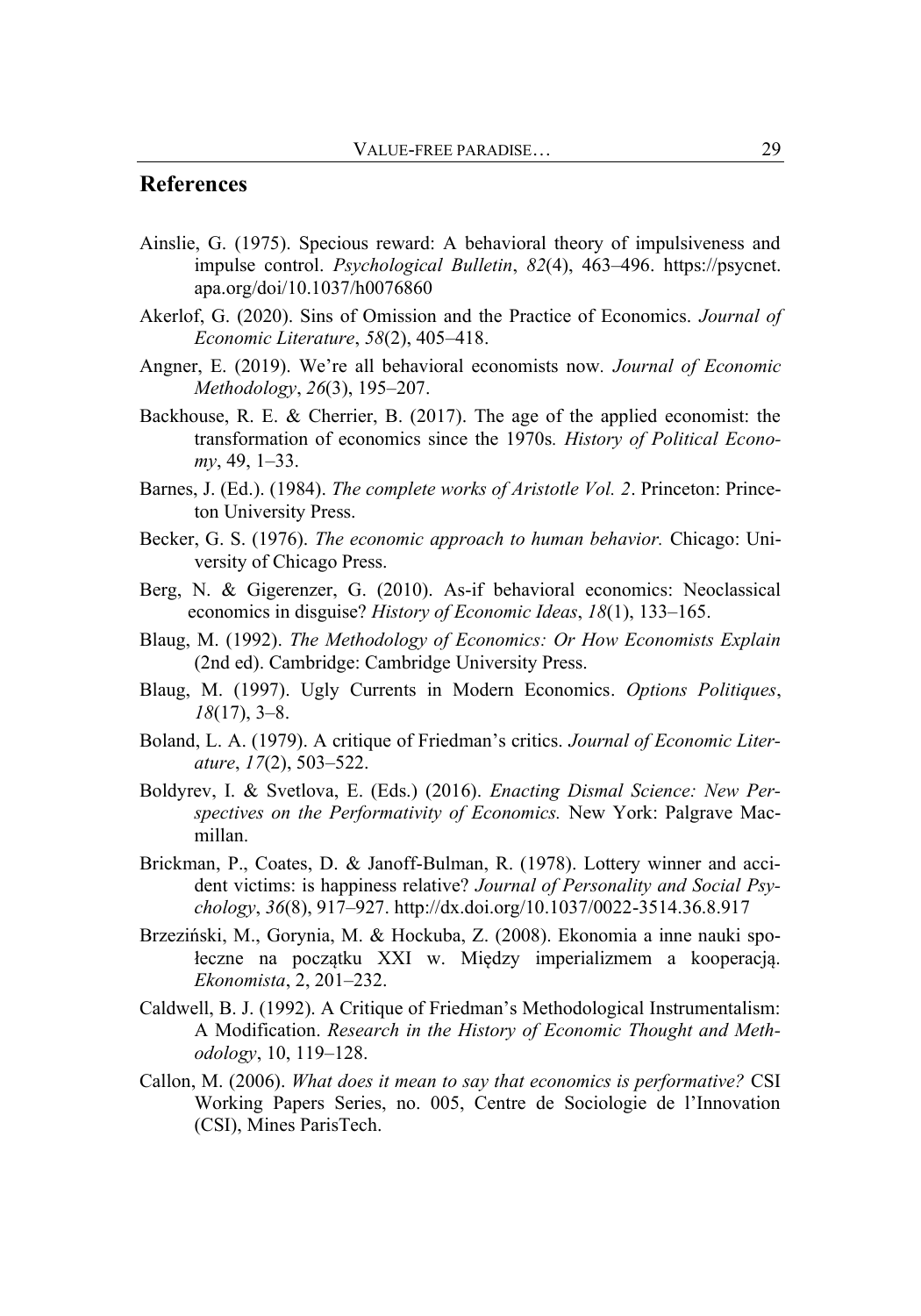### **References**

- Ainslie, G. (1975). Specious reward: A behavioral theory of impulsiveness and impulse control. *Psychological Bulletin*, *82*(4), 463–496. [https://psycnet.](https://psycnet.apa.org/doi/10.1037/h0076860)  [apa.org/doi/10.1037/h0076860](https://psycnet.apa.org/doi/10.1037/h0076860)
- Akerlof, G. (2020). Sins of Omission and the Practice of Economics. *Journal of Economic Literature*, *58*(2), 405–418.
- Angner, E. (2019). We're all behavioral economists now*. Journal of Economic Methodology*, *26*(3), 195–207.
- Backhouse, R. E. & Cherrier, B. (2017). The age of the applied economist: the transformation of economics since the 1970s*. History of Political Economy*, 49, 1–33.
- Barnes, J. (Ed.). (1984). *The complete works of Aristotle Vol. 2*. Princeton: Princeton University Press.
- Becker, G. S. (1976). *The economic approach to human behavior.* Chicago: University of Chicago Press.
- Berg, N. & Gigerenzer, G. (2010). As-if behavioral economics: Neoclassical economics in disguise? *History of Economic Ideas*, *18*(1), 133–165.
- Blaug, M. (1992). *The Methodology of Economics: Or How Economists Explain* (2nd ed). Cambridge: Cambridge University Press.
- Blaug, M. (1997). Ugly Currents in Modern Economics. *Options Politiques*, *18*(17), 3–8.
- Boland, L. A. (1979). A critique of Friedman's critics. *Journal of Economic Literature*, *17*(2), 503–522.
- Boldyrev, I. & Svetlova, E. (Eds.) (2016). *Enacting Dismal Science: New Perspectives on the Performativity of Economics.* New York: Palgrave Macmillan.
- Brickman, P., Coates, D. & Janoff-Bulman, R. (1978). Lottery winner and accident victims: is happiness relative? *Journal of Personality and Social Psychology*, *36*(8), 917–927.<http://dx.doi.org/10.1037/0022-3514.36.8.917>
- Brzeziński, M., Gorynia, M. & Hockuba, Z. (2008). Ekonomia a inne nauki społeczne na początku XXI w. Między imperializmem a kooperacją. *Ekonomista*, 2, 201–232.
- Caldwell, B. J. (1992). A Critique of Friedman's Methodological Instrumentalism: A Modification. *Research in the History of Economic Thought and Methodology*, 10, 119–128.
- Callon, M. (2006). *What does it mean to say that economics is performative?* CSI Working Papers Series, no. 005, Centre de Sociologie de l'Innovation (CSI), Mines ParisTech.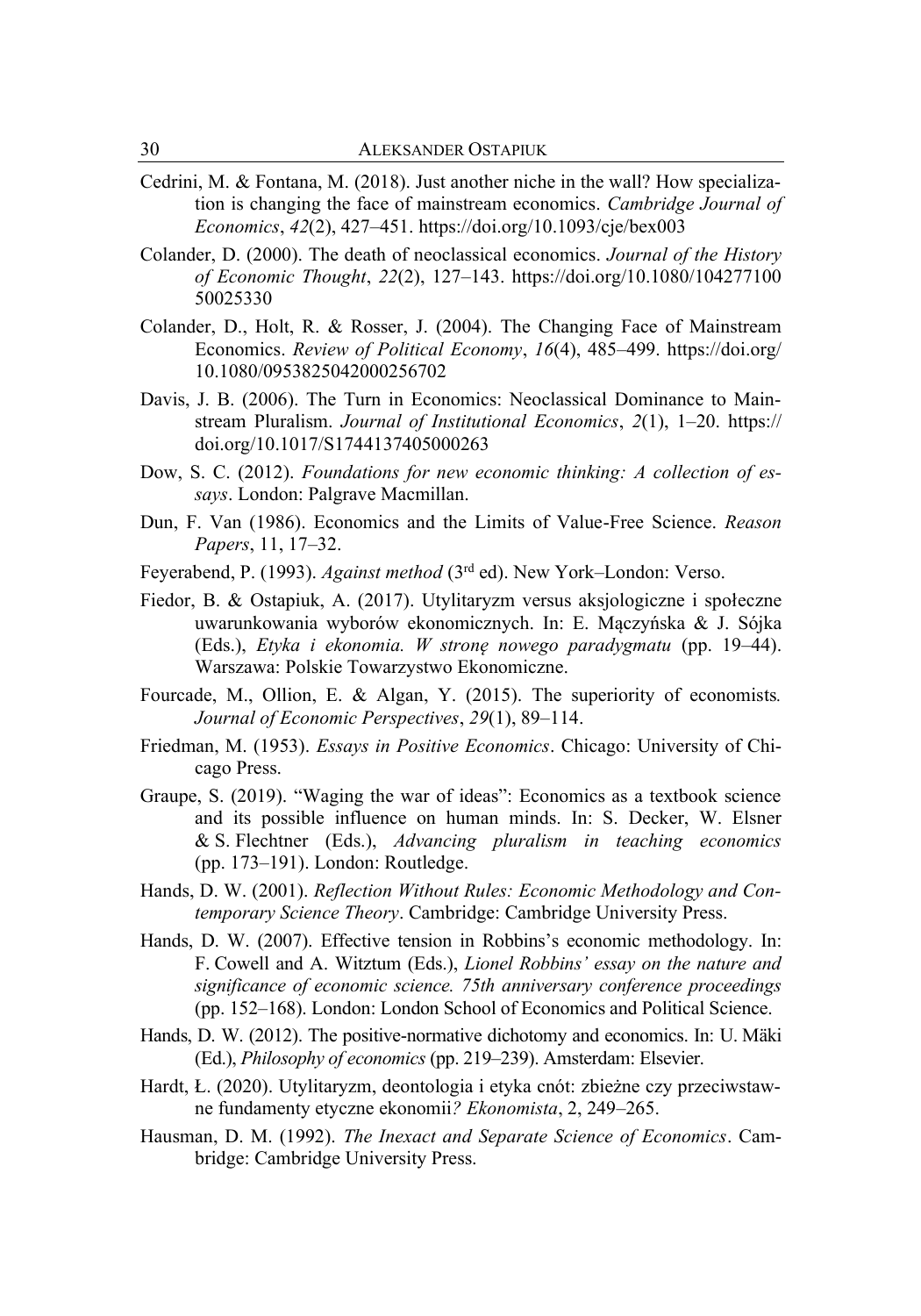- Cedrini, M. & Fontana, M. (2018). Just another niche in the wall? How specialization is changing the face of mainstream economics. *Cambridge Journal of Economics*, *42*(2), 427–451.<https://doi.org/10.1093/cje/bex003>
- Colander, D. (2000). The death of neoclassical economics. *Journal of the History of Economic Thought*, *22*(2), 127–143. [https://doi.org/10.1080/104277100](https://doi.org/10.1080/104277100%2050025330)  [50025330](https://doi.org/10.1080/104277100%2050025330)
- Colander, D., Holt, R. & Rosser, J. (2004). The Changing Face of Mainstream Economics. *Review of Political Economy*, *16*(4), 485–499. [https://doi.org/](https://doi.org/%2010.1080/0953825042000256702)  [10.1080/0953825042000256702](https://doi.org/%2010.1080/0953825042000256702)
- Davis, J. B. (2006). The Turn in Economics: Neoclassical Dominance to Mainstream Pluralism. *Journal of Institutional Economics*, *2*(1), 1–20. https:// doi.org/10.1017/S1744137405000263
- Dow, S. C. (2012). *Foundations for new economic thinking: A collection of essays*. London: Palgrave Macmillan.
- Dun, F. Van (1986). Economics and the Limits of Value-Free Science. *Reason Papers*, 11, 17–32.
- Feyerabend, P. (1993). *Against method* (3<sup>rd</sup> ed). New York–London: Verso.
- Fiedor, B. & Ostapiuk, A. (2017). Utylitaryzm versus aksjologiczne i społeczne uwarunkowania wyborów ekonomicznych. In: E. Mączyńska & J. Sójka (Eds.), *Etyka i ekonomia. W stronę nowego paradygmatu* (pp. 19–44). Warszawa: Polskie Towarzystwo Ekonomiczne.
- Fourcade, M., Ollion, E. & Algan, Y. (2015). The superiority of economists*. Journal of Economic Perspectives*, *29*(1), 89–114.
- Friedman, M. (1953). *Essays in Positive Economics*. Chicago: University of Chicago Press.
- Graupe, S. (2019). "Waging the war of ideas": Economics as a textbook science and its possible influence on human minds. In: S. Decker, W. Elsner & S. Flechtner (Eds.), *Advancing pluralism in teaching economics* (pp. 173–191). London: Routledge.
- Hands, D. W. (2001). *Reflection Without Rules: Economic Methodology and Contemporary Science Theory*. Cambridge: Cambridge University Press.
- Hands, D. W. (2007). Effective tension in Robbins's economic methodology. In: F. Cowell and A. Witztum (Eds.), *Lionel Robbins' essay on the nature and significance of economic science. 75th anniversary conference proceedings* (pp. 152–168). London: London School of Economics and Political Science.
- Hands, D. W. (2012). The positive-normative dichotomy and economics. In: U. Mäki (Ed.), *Philosophy of economics* (pp. 219–239). Amsterdam: Elsevier.
- Hardt, Ł. (2020). Utylitaryzm, deontologia i etyka cnót: zbieżne czy przeciwstawne fundamenty etyczne ekonomii*? Ekonomista*, 2, 249–265.
- Hausman, D. M. (1992). *The Inexact and Separate Science of Economics*. Cambridge: Cambridge University Press.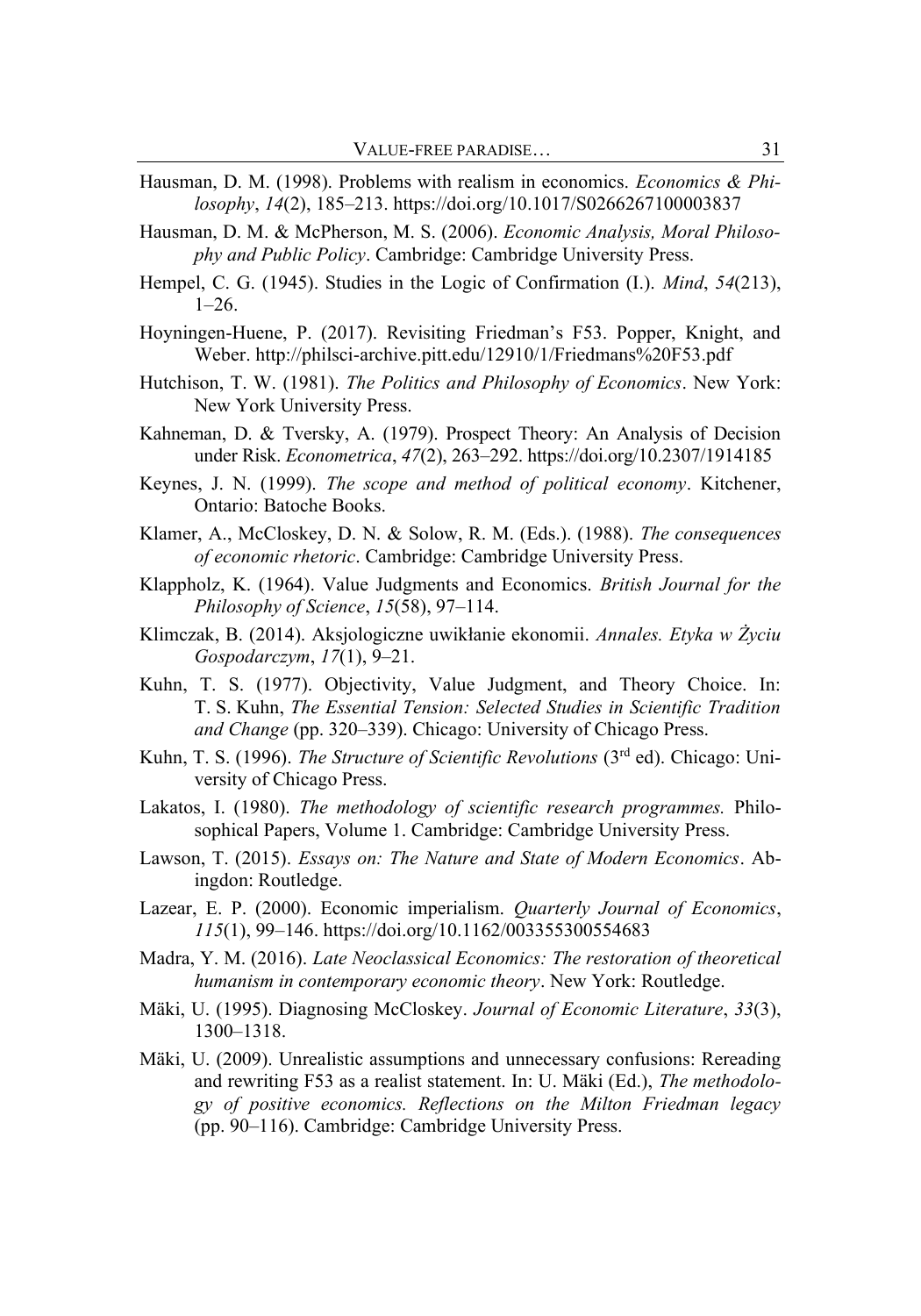- Hausman, D. M. (1998). Problems with realism in economics. *Economics & Philosophy*, *14*(2), 185–213[. https://doi.org/10.1017/S0266267100003837](https://doi.org/10.1017/S0266267100003837)
- Hausman, D. M. & McPherson, M. S. (2006). *Economic Analysis, Moral Philosophy and Public Policy*. Cambridge: Cambridge University Press.
- Hempel, C. G. (1945). Studies in the Logic of Confirmation (I.). *Mind*, *54*(213),  $1-26.$
- Hoyningen-Huene, P. (2017). Revisiting Friedman's F53. Popper, Knight, and Weber[. http://philsci-archive.pitt.edu/12910/1/Friedmans%20F53.pdf](http://philsci-archive.pitt.edu/12910/1/Friedmans%20F53.pdf)
- Hutchison, T. W. (1981). *The Politics and Philosophy of Economics*. New York: New York University Press.
- Kahneman, D. & Tversky, A. (1979). Prospect Theory: An Analysis of Decision under Risk. *Econometrica*, *47*(2), 263–292[. https://doi.org/10.2307/1914185](https://doi.org/10.2307/1914185)
- Keynes, J. N. (1999). *The scope and method of political economy*. Kitchener, Ontario: Batoche Books.
- Klamer, A., McCloskey, D. N. & Solow, R. M. (Eds.). (1988). *The consequences of economic rhetoric*. Cambridge: Cambridge University Press.
- Klappholz, K. (1964). Value Judgments and Economics. *British Journal for the Philosophy of Science*, *15*(58), 97–114.
- Klimczak, B. (2014). Aksjologiczne uwikłanie ekonomii. *Annales. Etyka w Życiu Gospodarczym*, *17*(1), 9–21.
- Kuhn, T. S. (1977). Objectivity, Value Judgment, and Theory Choice. In: T. S. Kuhn, *The Essential Tension: Selected Studies in Scientific Tradition and Change* (pp. 320–339). Chicago: University of Chicago Press.
- Kuhn, T. S. (1996). *The Structure of Scientific Revolutions* (3rd ed). Chicago: University of Chicago Press.
- Lakatos, I. (1980). *The methodology of scientific research programmes.* Philosophical Papers, Volume 1. Cambridge: Cambridge University Press.
- Lawson, T. (2015). *Essays on: The Nature and State of Modern Economics*. Abingdon: Routledge.
- Lazear, E. P. (2000). Economic imperialism. *Quarterly Journal of Economics*, *115*(1), 99–146[. https://doi.org/10.1162/003355300554683](https://doi.org/10.1162/003355300554683)
- Madra, Y. M. (2016). *Late Neoclassical Economics: The restoration of theoretical humanism in contemporary economic theory*. New York: Routledge.
- Mäki, U. (1995). Diagnosing McCloskey. *Journal of Economic Literature*, *33*(3), 1300–1318.
- Mäki, U. (2009). Unrealistic assumptions and unnecessary confusions: Rereading and rewriting F53 as a realist statement. In: U. Mäki (Ed.), *The methodology of positive economics. Reflections on the Milton Friedman legacy*  (pp. 90–116). Cambridge: Cambridge University Press.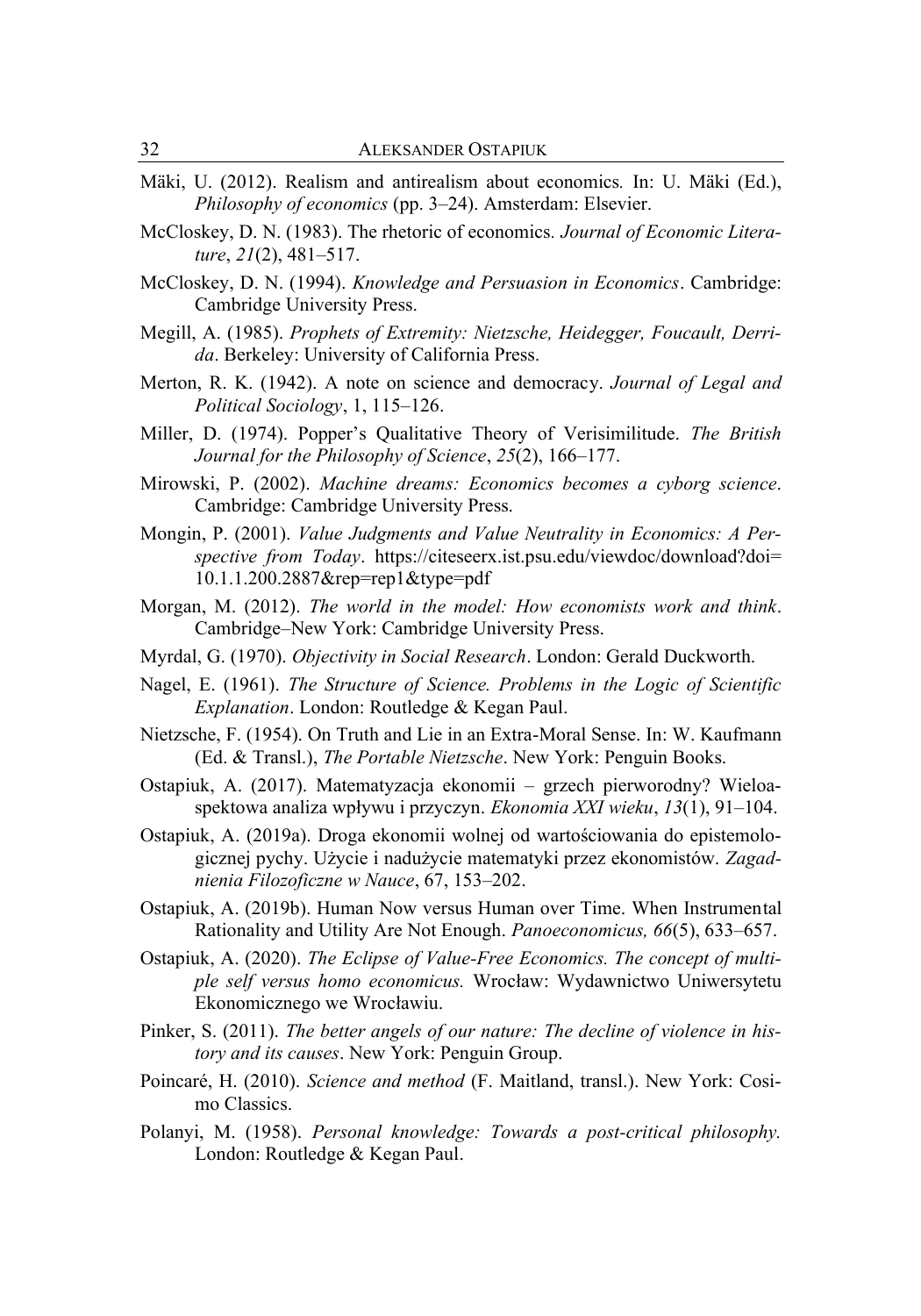- Mäki, U. (2012). Realism and antirealism about economics*.* In: U. Mäki (Ed.), *Philosophy of economics* (pp. 3–24). Amsterdam: Elsevier.
- McCloskey, D. N. (1983). The rhetoric of economics*. Journal of Economic Literature*, *21*(2), 481–517.
- McCloskey, D. N. (1994). *Knowledge and Persuasion in Economics*. Cambridge: Cambridge University Press.
- Megill, A. (1985). *Prophets of Extremity: Nietzsche, Heidegger, Foucault, Derrida*. Berkeley: University of California Press.
- Merton, R. K. (1942). A note on science and democracy. *Journal of Legal and Political Sociology*, 1, 115–126.
- Miller, D. (1974). Popper's Qualitative Theory of Verisimilitude. *The British Journal for the Philosophy of Science*, *25*(2), 166–177.
- Mirowski, P. (2002). *Machine dreams: Economics becomes a cyborg science*. Cambridge: Cambridge University Press.
- Mongin, P. (2001). *Value Judgments and Value Neutrality in Economics: A Perspective from Today*. [https://citeseerx.ist.psu.edu/viewdoc/download?doi=](https://citeseerx.ist.psu.edu/viewdoc/download?doi=%2010.1.1.200.2887&rep=rep1&type=pdf)  [10.1.1.200.2887&rep=rep1&type=pdf](https://citeseerx.ist.psu.edu/viewdoc/download?doi=%2010.1.1.200.2887&rep=rep1&type=pdf)
- Morgan, M. (2012). *The world in the model: How economists work and think*. Cambridge–New York: Cambridge University Press.
- Myrdal, G. (1970). *Objectivity in Social Research*. London: Gerald Duckworth.
- Nagel, E. (1961). *The Structure of Science. Problems in the Logic of Scientific Explanation*. London: Routledge & Kegan Paul.
- Nietzsche, F. (1954). On Truth and Lie in an Extra-Moral Sense. In: W. Kaufmann (Ed. & Transl.), *The Portable Nietzsche*. New York: Penguin Books.
- Ostapiuk, A. (2017). Matematyzacja ekonomii grzech pierworodny? Wieloaspektowa analiza wpływu i przyczyn. *Ekonomia XXI wieku*, *13*(1), 91–104.
- Ostapiuk, A. (2019a). Droga ekonomii wolnej od wartościowania do epistemologicznej pychy. Użycie i nadużycie matematyki przez ekonomistów. *Zagadnienia Filozoficzne w Nauce*, 67, 153–202.
- Ostapiuk, A. (2019b). Human Now versus Human over Time. When Instrumental Rationality and Utility Are Not Enough. *Panoeconomicus, 66*(5), 633–657.
- Ostapiuk, A. (2020). *The Eclipse of Value-Free Economics. The concept of multiple self versus homo economicus.* Wrocław: Wydawnictwo Uniwersytetu Ekonomicznego we Wrocławiu.
- Pinker, S. (2011). *The better angels of our nature: The decline of violence in history and its causes*. New York: Penguin Group.
- Poincaré, H. (2010). *Science and method* (F. Maitland, transl.). New York: Cosimo Classics.
- Polanyi, M. (1958). *Personal knowledge: Towards a post-critical philosophy.* London: Routledge & Kegan Paul.